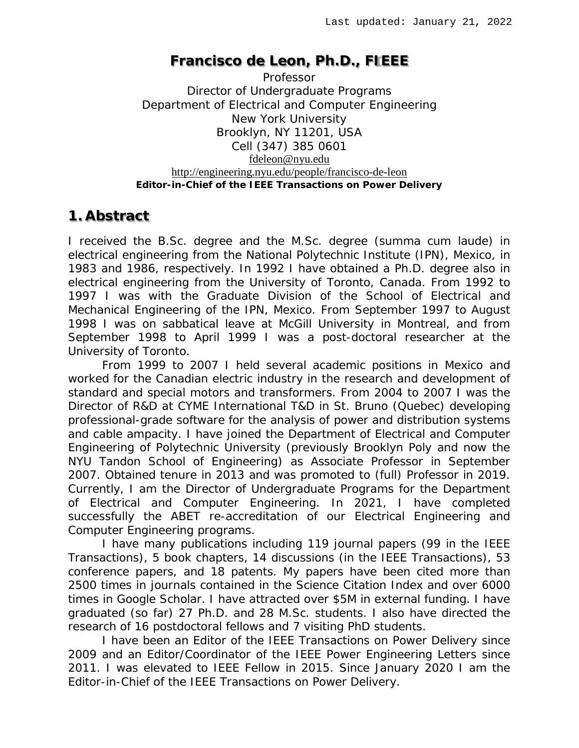# **Francisco de Leon, Ph.D., FIEEE**

Professor Director of Undergraduate Programs Department of Electrical and Computer Engineering New York University Brooklyn, NY 11201, USA Cell (347) 385 0601 [fdeleon@nyu.edu](mailto:fdeleon@nyu.edu) <http://engineering.nyu.edu/people/francisco-de-leon> **Editor-in-Chief of the IEEE Transactions on Power Delivery**

# **1. Abstract**

I received the B.Sc. degree and the M.Sc. degree (summa cum laude) in electrical engineering from the National Polytechnic Institute (IPN), Mexico, in 1983 and 1986, respectively. In 1992 I have obtained a Ph.D. degree also in electrical engineering from the University of Toronto, Canada. From 1992 to 1997 I was with the Graduate Division of the School of Electrical and Mechanical Engineering of the IPN, Mexico. From September 1997 to August 1998 I was on sabbatical leave at McGill University in Montreal, and from September 1998 to April 1999 I was a post-doctoral researcher at the University of Toronto.

From 1999 to 2007 I held several academic positions in Mexico and worked for the Canadian electric industry in the research and development of standard and special motors and transformers. From 2004 to 2007 I was the Director of R&D at CYME International T&D in St. Bruno (Quebec) developing professional-grade software for the analysis of power and distribution systems and cable ampacity. I have joined the Department of Electrical and Computer Engineering of Polytechnic University (previously Brooklyn Poly and now the NYU Tandon School of Engineering) as Associate Professor in September 2007. Obtained tenure in 2013 and was promoted to (full) Professor in 2019. Currently, I am the Director of Undergraduate Programs for the Department of Electrical and Computer Engineering. In 2021, I have completed successfully the ABET re-accreditation of our Electrical Engineering and Computer Engineering programs.

I have many publications including 119 journal papers (99 in the IEEE Transactions), 5 book chapters, 14 discussions (in the IEEE Transactions), 53 conference papers, and 18 patents. My papers have been cited more than 2500 times in journals contained in the Science Citation Index and over 6000 times in Google Scholar. I have attracted over \$5M in external funding. I have graduated (so far) 27 Ph.D. and 28 M.Sc. students. I also have directed the research of 16 postdoctoral fellows and 7 visiting PhD students.

I have been an Editor of the IEEE Transactions on Power Delivery since 2009 and an Editor/Coordinator of the IEEE Power Engineering Letters since 2011. I was elevated to IEEE Fellow in 2015. Since January 2020 I am the *Editor-in-Chief of the IEEE Transactions on Power Delivery*.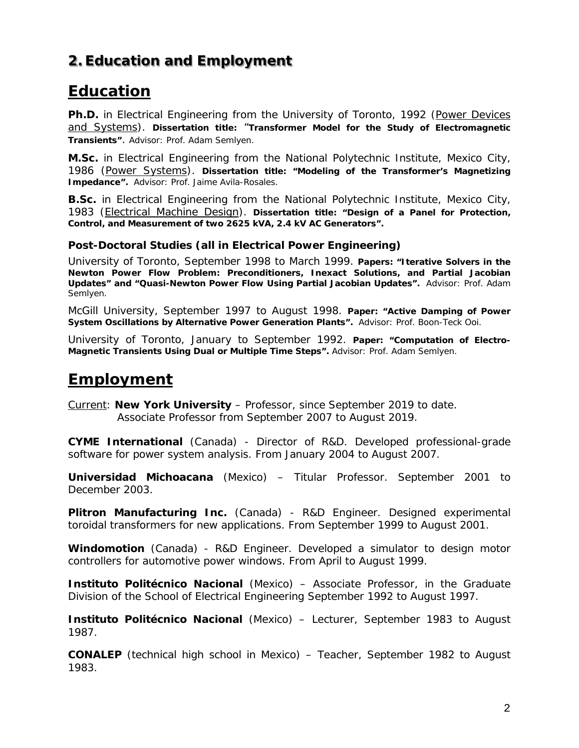# **2. Education and Employment**

# **Education**

**Ph.D.** in Electrical Engineering from the *University of Toronto*, 1992 (Power Devices and Systems). **Dissertation title:** "**Transformer Model for the Study of Electromagnetic Transients"**. Advisor: Prof. Adam Semlyen.

**M.Sc.** in Electrical Engineering from the *National Polytechnic Institute, Mexico City*, 1986 (Power Systems). **Dissertation title: "Modeling of the Transformer's Magnetizing Impedance".** Advisor: Prof. Jaime Avila-Rosales.

**B.Sc.** in Electrical Engineering from the *National Polytechnic Institute, Mexico City*, 1983 (Electrical Machine Design). **Dissertation title: "Design of a Panel for Protection, Control, and Measurement of two 2625 kVA, 2.4 kV AC Generators".**

## **Post-Doctoral Studies (all in Electrical Power Engineering)**

*University of Toronto*, September 1998 to March 1999. **Papers: "Iterative Solvers in the Newton Power Flow Problem: Preconditioners, Inexact Solutions, and Partial Jacobian Updates" and "Quasi-Newton Power Flow Using Partial Jacobian Updates".** Advisor: Prof. Adam Semlyen.

*McGill University*, September 1997 to August 1998. **Paper: "Active Damping of Power System Oscillations by Alternative Power Generation Plants".** Advisor: Prof. Boon-Teck Ooi.

*University of Toronto*, January to September 1992. **Paper: "Computation of Electro-Magnetic Transients Using Dual or Multiple Time Steps".** Advisor: Prof. Adam Semlyen.

# **Employment**

Current: **New York University** – Professor, since September 2019 to date. Associate Professor from September 2007 to August 2019.

**CYME International** (Canada) - Director of R&D. Developed professional-grade software for power system analysis. From January 2004 to August 2007.

**Universidad Michoacana** (Mexico) – Titular Professor. September 2001 to December 2003.

**Plitron Manufacturing Inc.** (Canada) - R&D Engineer. Designed experimental toroidal transformers for new applications. From September 1999 to August 2001.

**Windomotion** (Canada) - R&D Engineer. Developed a simulator to design motor controllers for automotive power windows. From April to August 1999.

**Instituto Politécnico Nacional** (Mexico) – Associate Professor, in the Graduate Division of the School of Electrical Engineering September 1992 to August 1997.

**Instituto Politécnico Nacional** (Mexico) – Lecturer, September 1983 to August 1987.

**CONALEP** (technical high school in Mexico) – Teacher, September 1982 to August 1983.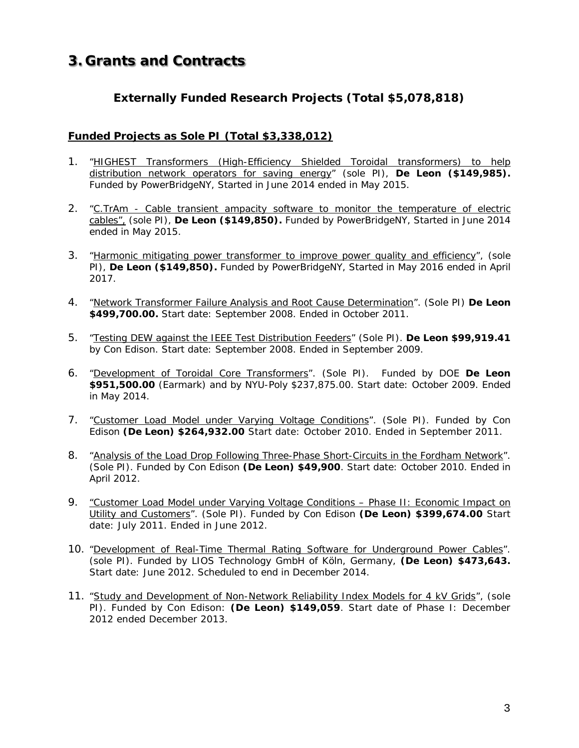# **3. Grants and Contracts**

## **Externally Funded Research Projects (Total \$5,078,818)**

## *Funded Projects as Sole PI (Total \$3,338,012)*

- 1. "*HIGHEST Transformers (High-Efficiency Shielded Toroidal transformers) to help distribution network operators for saving energy*" (sole PI), **De Leon (\$149,985).** Funded by PowerBridgeNY, Started in June 2014 ended in May 2015.
- 2. "*C.TrAm - Cable transient ampacity software to monitor the temperature of electric cables",* (sole PI), **De Leon (\$149,850).** Funded by PowerBridgeNY, Started in June 2014 ended in May 2015.
- 3. "*Harmonic mitigating power transformer to improve power quality and efficiency*", (sole PI), **De Leon (\$149,850).** Funded by PowerBridgeNY, Started in May 2016 ended in April 2017.
- 4. "*Network Transformer Failure Analysis and Root Cause Determination*". (Sole PI) **De Leon \$499,700.00.** Start date: September 2008. Ended in October 2011.
- 5. "*Testing DEW against the IEEE Test Distribution Feeders*" (Sole PI). **De Leon \$99,919.41** by Con Edison. Start date: September 2008. Ended in September 2009.
- 6. "*Development of Toroidal Core Transformers*". (Sole PI). Funded by DOE **De Leon \$951,500.00** (Earmark) and by NYU-Poly \$237,875.00. Start date: October 2009. Ended in May 2014.
- 7. "*Customer Load Model under Varying Voltage Conditions*". (Sole PI). Funded by Con Edison **(De Leon) \$264,932.00** Start date: October 2010. Ended in September 2011.
- 8. "*Analysis of the Load Drop Following Three-Phase Short-Circuits in the Fordham Network*". (Sole PI). Funded by Con Edison **(De Leon) \$49,900**. Start date: October 2010. Ended in April 2012.
- 9. *"Customer Load Model under Varying Voltage Conditions – Phase II: Economic Impact on Utility and Customers*". (Sole PI). Funded by Con Edison **(De Leon) \$399,674.00** Start date: July 2011. Ended in June 2012.
- 10. "*Development of Real-Time Thermal Rating Software for Underground Power Cables*". (sole PI). Funded by LIOS Technology GmbH of Köln, Germany, **(De Leon) \$473,643.** Start date: June 2012. Scheduled to end in December 2014.
- 11. "*Study and Development of Non-Network Reliability Index Models for 4 kV Grids*", (sole PI). Funded by Con Edison: **(De Leon) \$149,059**. Start date of Phase I: December 2012 ended December 2013.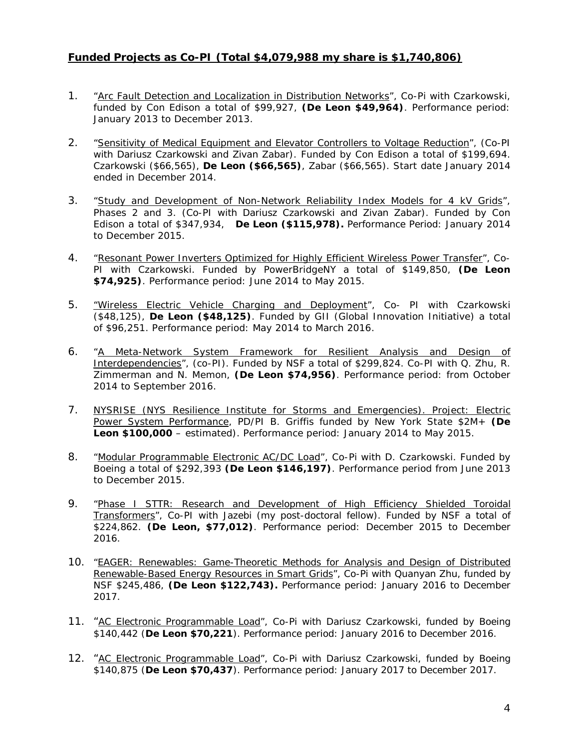## *Funded Projects as Co-PI (Total \$4,079,988 my share is \$1,740,806)*

- 1. "*Arc Fault Detection and Localization in Distribution Networks*", Co-Pi with Czarkowski, funded by Con Edison a total of \$99,927, **(De Leon \$49,964)**. Performance period: January 2013 to December 2013.
- 2. "*Sensitivity of Medical Equipment and Elevator Controllers to Voltage Reduction*", (Co-PI with Dariusz Czarkowski and Zivan Zabar). Funded by Con Edison a total of \$199,694. Czarkowski (\$66,565), **De Leon (\$66,565)**, Zabar (\$66,565). Start date January 2014 ended in December 2014.
- 3. "*Study and Development of Non-Network Reliability Index Models for 4 kV Grids*", Phases 2 and 3. (Co-PI with Dariusz Czarkowski and Zivan Zabar). Funded by Con Edison a total of \$347,934, **De Leon (\$115,978).** Performance Period: January 2014 to December 2015.
- 4. "*Resonant Power Inverters Optimized for Highly Efficient Wireless Power Transfer*", Co-PI with Czarkowski. Funded by PowerBridgeNY a total of \$149,850, **(De Leon \$74,925)**. Performance period: June 2014 to May 2015.
- 5. *"Wireless Electric Vehicle Charging and Deployment*", Co- PI with Czarkowski (\$48,125), **De Leon (\$48,125)**. Funded by GII (Global Innovation Initiative) a total of \$96,251. Performance period: May 2014 to March 2016.
- 6. "*A Meta-Network System Framework for Resilient Analysis and Design of Interdependencies*", (co-PI). Funded by NSF a total of \$299,824. Co-PI with Q. Zhu, R. Zimmerman and N. Memon, **(De Leon \$74,956)**. Performance period: from October 2014 to September 2016.
- 7. *NYSRISE (NYS Resilience Institute for Storms and Emergencies). Project: Electric Power System Performance*, PD/PI B. Griffis funded by New York State \$2M+ **(De Leon \$100,000** – estimated). Performance period: January 2014 to May 2015.
- 8. "*Modular Programmable Electronic AC/DC Load*", Co-Pi with D. Czarkowski. Funded by Boeing a total of \$292,393 **(De Leon \$146,197)**. Performance period from June 2013 to December 2015.
- 9. "*Phase I STTR: Research and Development of High Efficiency Shielded Toroidal Transformers*", Co-PI with Jazebi (my post-doctoral fellow). Funded by NSF a total of \$224,862. **(De Leon, \$77,012)**. Performance period: December 2015 to December 2016.
- 10. "*EAGER: Renewables: Game-Theoretic Methods for Analysis and Design of Distributed Renewable-Based Energy Resources in Smart Grids*", Co-Pi with Quanyan Zhu, funded by NSF \$245,486, **(De Leon \$122,743).** Performance period: January 2016 to December 2017.
- 11. "*AC Electronic Programmable Load*", Co-Pi with Dariusz Czarkowski, funded by Boeing \$140,442 (**De Leon \$70,221**). Performance period: January 2016 to December 2016.
- 12. "*AC Electronic Programmable Load*", Co-Pi with Dariusz Czarkowski, funded by Boeing \$140,875 (**De Leon \$70,437**). Performance period: January 2017 to December 2017.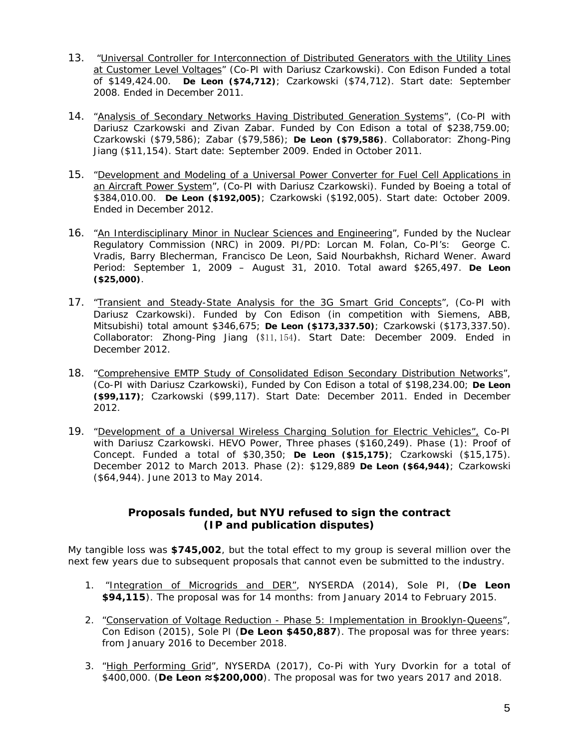- 13. "*Universal Controller for Interconnection of Distributed Generators with the Utility Lines at Customer Level Voltages*" (Co-PI with Dariusz Czarkowski). Con Edison Funded a total of \$149,424.00. **De Leon (\$74,712)**; Czarkowski (\$74,712). Start date: September 2008. Ended in December 2011.
- 14. "*Analysis of Secondary Networks Having Distributed Generation Systems*", (Co-PI with Dariusz Czarkowski and Zivan Zabar. Funded by Con Edison a total of \$238,759.00; Czarkowski (\$79,586); Zabar (\$79,586); **De Leon (\$79,586)**. Collaborator: Zhong-Ping Jiang (\$11,154). Start date: September 2009. Ended in October 2011.
- 15. "*Development and Modeling of a Universal Power Converter for Fuel Cell Applications in an Aircraft Power System*", (Co-PI with Dariusz Czarkowski). Funded by Boeing a total of \$384,010.00. **De Leon (\$192,005)**; Czarkowski (\$192,005). Start date: October 2009. Ended in December 2012.
- 16. "*An Interdisciplinary Minor in Nuclear Sciences and Engineering*", Funded by the Nuclear Regulatory Commission (NRC) in 2009. PI/PD: Lorcan M. Folan, Co-PI's: George C. Vradis, Barry Blecherman, Francisco De Leon, Said Nourbakhsh, Richard Wener. Award Period: September 1, 2009 – August 31, 2010. Total award \$265,497. **De Leon (\$25,000)**.
- 17. "*Transient and Steady-State Analysis for the 3G Smart Grid Concepts*", (Co-PI with Dariusz Czarkowski). Funded by Con Edison (in competition with Siemens, ABB, Mitsubishi) total amount \$346,675; **De Leon (\$173,337.50)**; Czarkowski (\$173,337.50). Collaborator: Zhong-Ping Jiang (\$11,154). Start Date: December 2009. Ended in December 2012.
- 18. "*Comprehensive EMTP Study of Consolidated Edison Secondary Distribution Networks*", (Co-PI with Dariusz Czarkowski), Funded by Con Edison a total of \$198,234.00; **De Leon (\$99,117)**; Czarkowski (\$99,117). Start Date: December 2011. Ended in December 2012.
- 19. "*Development of a Universal Wireless Charging Solution for Electric Vehicles",* Co-PI with Dariusz Czarkowski. HEVO Power, Three phases (\$160,249). Phase (1): Proof of Concept. Funded a total of \$30,350; **De Leon (\$15,175)**; Czarkowski (\$15,175). December 2012 to March 2013. Phase (2): \$129,889 **De Leon (\$64,944)**; Czarkowski (\$64,944). June 2013 to May 2014.

## **Proposals funded, but NYU refused to sign the contract (IP and publication disputes)**

My tangible loss was **\$745,002**, but the total effect to my group is several million over the next few years due to subsequent proposals that cannot even be submitted to the industry.

- 1. "*Integration of Microgrids and DER"*, NYSERDA (2014), Sole PI, (**De Leon \$94,115**). The proposal was for 14 months: from January 2014 to February 2015.
- 2. "*Conservation of Voltage Reduction - Phase 5: Implementation in Brooklyn-Queens*", Con Edison (2015), Sole PI (**De Leon \$450,887**). The proposal was for three years: from January 2016 to December 2018.
- 3. "*High Performing Grid*", NYSERDA (2017), Co-Pi with Yury Dvorkin for a total of \$400,000. (**De Leon ≈\$200,000**). The proposal was for two years 2017 and 2018.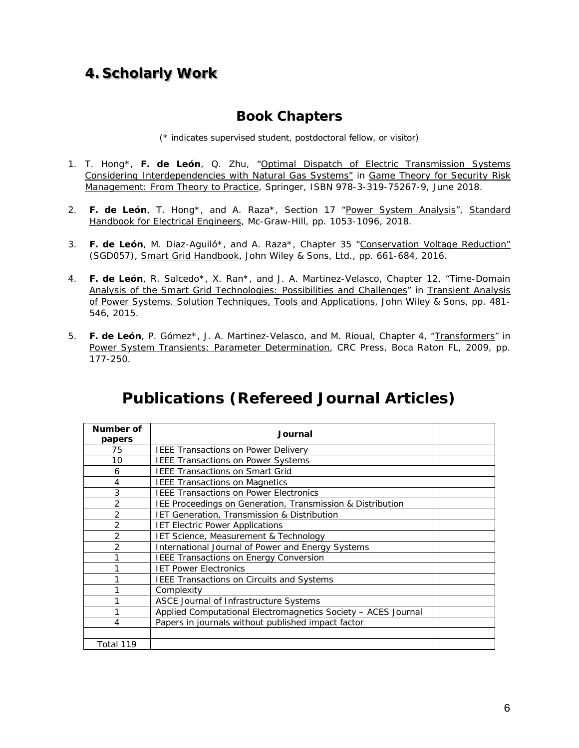# **4. Scholarly Work**

# **Book Chapters**

(\* indicates supervised student, postdoctoral fellow, or visitor)

- 1. T. Hong\*, **F. de León**, Q. Zhu, "*Optimal Dispatch of Electric Transmission Systems Considering Interdependencies with Natural Gas Systems"* in *Game Theory for Security Risk Management: From Theory to Practice*, Springer, ISBN 978-3-319-75267-9, June 2018.
- 2. **F. de León**, T. Hong\*, and A. Raza\*, Section 17 "*Power System Analysis*", *Standard Handbook for Electrical Engineers*, Mc-Graw-Hill, pp. 1053-1096, 2018.
- 3. **F. de León**, M. Diaz-Aguiló\*, and A. Raza\*, Chapter 35 "*Conservation Voltage Reduction"* (SGD057), *Smart Grid Handbook*, John Wiley & Sons, Ltd., pp. 661-684, 2016.
- 4. **F. de León**, R. Salcedo\*, X. Ran\*, and J. A. Martinez-Velasco, Chapter 12, "Time-Domain Analysis of the Smart Grid Technologies: Possibilities and Challenges" in *Transient Analysis of Power Systems. Solution Techniques, Tools and Applications*, John Wiley & Sons, pp. 481- 546, 2015.
- 5. **F. de León**, P. Gómez\*, J. A. Martinez-Velasco, and M. Rioual, Chapter 4, "*Transformers*" in *Power System Transients: Parameter Determination*, CRC Press, Boca Raton FL, 2009, pp. 177-250.

| Number of<br>papers | Journal                                                       |  |
|---------------------|---------------------------------------------------------------|--|
| 75                  | <b>IEEE Transactions on Power Delivery</b>                    |  |
| 10                  | <b>IEEE Transactions on Power Systems</b>                     |  |
| 6                   | <b>IEEE Transactions on Smart Grid</b>                        |  |
| 4                   | <b>IEEE Transactions on Magnetics</b>                         |  |
| 3                   | <b>IEEE Transactions on Power Electronics</b>                 |  |
| $\overline{2}$      | IEE Proceedings on Generation, Transmission & Distribution    |  |
| $\overline{2}$      | IET Generation, Transmission & Distribution                   |  |
| $\overline{2}$      | <b>IET Electric Power Applications</b>                        |  |
| $\overline{2}$      | IET Science, Measurement & Technology                         |  |
| 2                   | International Journal of Power and Energy Systems             |  |
|                     | IEEE Transactions on Energy Conversion                        |  |
|                     | <b>IET Power Electronics</b>                                  |  |
|                     | <b>IEEE Transactions on Circuits and Systems</b>              |  |
|                     | Complexity                                                    |  |
|                     | ASCE Journal of Infrastructure Systems                        |  |
|                     | Applied Computational Electromagnetics Society - ACES Journal |  |
| 4                   | Papers in journals without published impact factor            |  |
|                     |                                                               |  |
| Total 119           |                                                               |  |

# **Publications (Refereed Journal Articles)**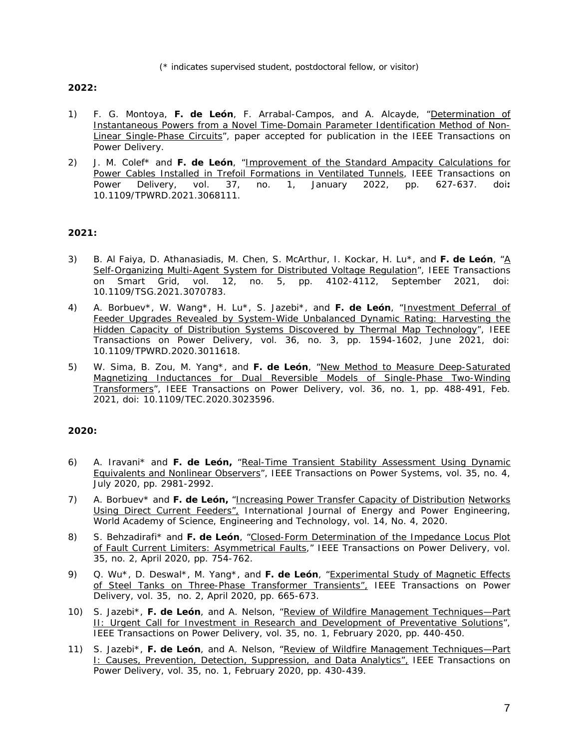(\* indicates supervised student, postdoctoral fellow, or visitor)

**2022:**

- 1) F. G. Montoya, **F. de León**, F. Arrabal-Campos, and A. Alcayde, *"Determination of Instantaneous Powers from a Novel Time-Domain Parameter Identification Method of Non-Linear Single-Phase Circuits*", paper accepted for publication in the IEEE Transactions on Power Delivery.
- 2) J. M. Colef\* and **F. de León**, "*Improvement of the Standard Ampacity Calculations for Power Cables Installed in Trefoil Formations in Ventilated Tunnels*, IEEE Transactions on Power Delivery, vol. 37, no. 1, January 2022, pp. 627-637. doi**:**  [10.1109/TPWRD.2021.3068111.](https://doi.org/10.1109/TPWRD.2021.3068111)

### **2021:**

- 3) B. Al Faiya, D. Athanasiadis, M. Chen, S. McArthur, I. Kockar, H. Lu\*, and **F. de León**, "*A Self-Organizing Multi-Agent System for Distributed Voltage Regulation*", IEEE Transactions on Smart Grid, vol. 12, no. 5, pp. 4102-4112, September 2021, doi: 10.1109/TSG.2021.3070783.
- 4) A. Borbuev\*, W. Wang\*, H. Lu\*, S. Jazebi\*, and **F. de León**, "*Investment Deferral of Feeder Upgrades Revealed by System-Wide Unbalanced Dynamic Rating: Harvesting the Hidden Capacity of Distribution Systems Discovered by Thermal Map Technology*", IEEE Transactions on Power Delivery, vol. 36, no. 3, pp. 1594-1602, June 2021, doi: 10.1109/TPWRD.2020.3011618.
- 5) W. Sima, B. Zou, M. Yang\*, and **F. de León**, "*New Method to Measure Deep-Saturated Magnetizing Inductances for Dual Reversible Models of Single-Phase Two-Winding Transformers*", IEEE Transactions on Power Delivery, vol. 36, no. 1, pp. 488-491, Feb. 2021, doi: 10.1109/TEC.2020.3023596.

- 6) A. Iravani\* and **F. de León,** "*Real-Time Transient Stability Assessment Using Dynamic Equivalents and Nonlinear Observers*", IEEE Transactions on Power Systems, vol. 35, no. 4, July 2020, pp. 2981-2992.
- 7) A. Borbuev\* and **F. de León,** "*Increasing Power Transfer Capacity of Distribution Networks Using Direct Current Feeders",* International Journal of Energy and Power Engineering, World Academy of Science, Engineering and Technology, vol. 14, No. 4, 2020.
- 8) S. Behzadirafi\* and **F. de León**, "*Closed-Form Determination of the Impedance Locus Plot of Fault Current Limiters: Asymmetrical Faults*," IEEE Transactions on Power Delivery, vol. 35, no. 2, April 2020, pp. 754-762.
- 9) Q. Wu\*, D. Deswal\*, M. Yang\*, and **F. de León**, "*Experimental Study of Magnetic Effects of Steel Tanks on Three-Phase Transformer Transients",* IEEE Transactions on Power Delivery, vol. 35, no. 2, April 2020, pp. 665-673.
- 10) S. Jazebi\*, **F. de León**, and A. Nelson, "*Review of Wildfire Management Techniques—Part II: Urgent Call for Investment in Research and Development of Preventative Solutions*", IEEE Transactions on Power Delivery, vol. 35, no. 1, February 2020, pp. 440-450.
- 11) S. Jazebi\*, **F. de León**, and A. Nelson, "*Review of Wildfire Management Techniques—Part I: Causes, Prevention, Detection, Suppression, and Data Analytics",* IEEE Transactions on Power Delivery, vol. 35, no. 1, February 2020, pp. 430-439.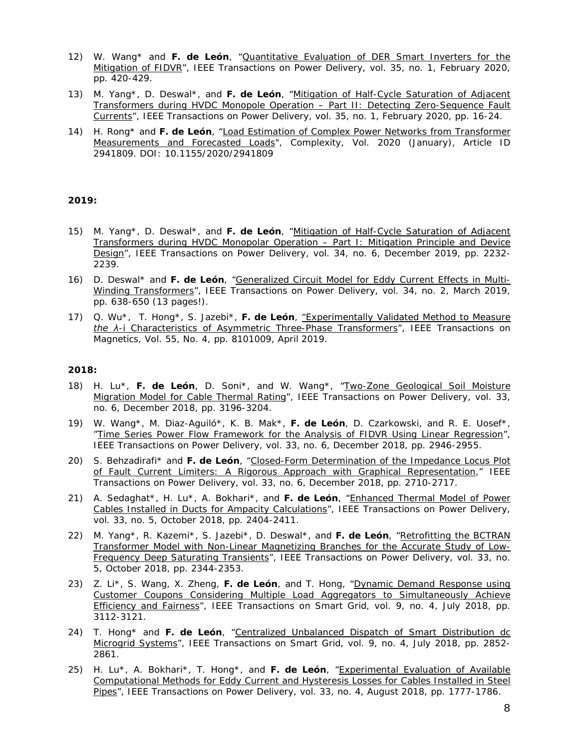- 12) W. Wang\* and **F. de León**, "*Quantitative Evaluation of DER Smart Inverters for the Mitigation of FIDVR*", IEEE Transactions on Power Delivery, vol. 35, no. 1, February 2020, pp. 420-429.
- 13) M. Yang\*, D. Deswal\*, and **F. de León**, "*Mitigation of Half-Cycle Saturation of Adjacent Transformers during HVDC Monopole Operation – Part II: Detecting Zero-Sequence Fault Currents*", IEEE Transactions on Power Delivery, vol. 35, no. 1, February 2020, pp. 16-24.
- 14) H. Rong\* and **F. de León**, "*Load Estimation of Complex Power Networks from Transformer Measurements and Forecasted Loads*", Complexity, Vol. 2020 (January), Article ID 2941809. DOI: 10.1155/2020/2941809

- 15) M. Yang\*, D. Deswal\*, and **F. de León**, "*Mitigation of Half-Cycle Saturation of Adjacent Transformers during HVDC Monopolar Operation – Part I: Mitigation Principle and Device Design*", IEEE Transactions on Power Delivery, vol. 34, no. 6, December 2019, pp. 2232- 2239.
- 16) D. Deswal\* and **F. de León**, "*Generalized Circuit Model for Eddy Current Effects in Multi-Winding Transformers*", IEEE Transactions on Power Delivery, vol. 34, no. 2, March 2019, pp. 638-650 (13 pages!).
- 17) Q. Wu\*, T. Hong\*, S. Jazebi\*, **F. de León**, *"Experimentally Validated Method to Measure the λ-i Characteristics of Asymmetric Three-Phase Transformers*", IEEE Transactions on Magnetics, Vol. 55, No. 4, pp. 8101009, April 2019.

- 18) H. Lu\*, **F. de León**, D. Soni\*, and W. Wang\*, "*Two-Zone Geological Soil Moisture Migration Model for Cable Thermal Rating*", IEEE Transactions on Power Delivery, vol. 33, no. 6, December 2018, pp. 3196-3204.
- 19) W. Wang\*, M. Diaz-Aguiló\*, K. B. Mak\*, **F. de León**, D. Czarkowski, and R. E. Uosef\*, "*Time Series Power Flow Framework for the Analysis of FIDVR Using Linear Regression*", IEEE Transactions on Power Delivery, vol. 33, no. 6, December 2018, pp. 2946-2955.
- 20) S. Behzadirafi\* and **F. de León**, "*Closed-Form Determination of the Impedance Locus Plot of Fault Current Limiters: A Rigorous Approach with Graphical Representation*," IEEE Transactions on Power Delivery, vol. 33, no. 6, December 2018, pp. 2710-2717.
- 21) A. Sedaghat\*, H. Lu\*, A. Bokhari\*, and **F. de León**, "*Enhanced Thermal Model of Power Cables Installed in Ducts for Ampacity Calculations*", IEEE Transactions on Power Delivery, vol. 33, no. 5, October 2018, pp. 2404-2411.
- 22) M. Yang\*, R. Kazemi\*, S. Jazebi\*, D. Deswal\*, and **F. de León**, "*Retrofitting the BCTRAN Transformer Model with Non-Linear Magnetizing Branches for the Accurate Study of Low-Frequency Deep Saturating Transients*", IEEE Transactions on Power Delivery, vol. 33, no. 5, October 2018, pp. 2344-2353.
- 23) Z. Li\*, S. Wang, X. Zheng, **F. de León**, and T. Hong, "*Dynamic Demand Response using Customer Coupons Considering Multiple Load Aggregators to Simultaneously Achieve Efficiency and Fairness*", IEEE Transactions on Smart Grid, vol. 9, no. 4, July 2018, pp. 3112-3121.
- 24) T. Hong\* and **F. de León**, "*Centralized Unbalanced Dispatch of Smart Distribution dc Microgrid Systems*", IEEE Transactions on Smart Grid, vol. 9, no. 4, July 2018, pp. 2852- 2861.
- 25) H. Lu\*, A. Bokhari\*, T. Hong\*, and **F. de León**, "*Experimental Evaluation of Available Computational Methods for Eddy Current and Hysteresis Losses for Cables Installed in Steel Pipes*", IEEE Transactions on Power Delivery, vol. 33, no. 4, August 2018, pp. 1777-1786.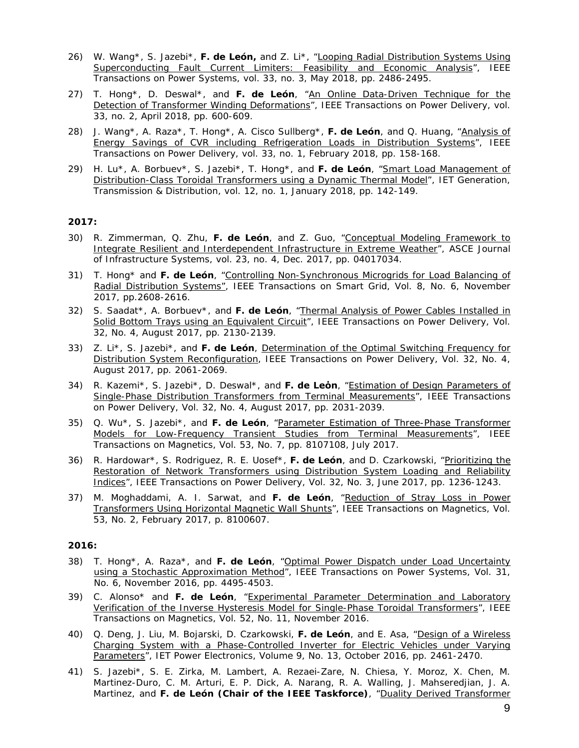- 26) W. Wang\*, S. Jazebi\*, **F. de León,** and Z. Li\*, "*Looping Radial Distribution Systems Using Superconducting Fault Current Limiters: Feasibility and Economic Analysis*", IEEE Transactions on Power Systems, vol. 33, no. 3, May 2018, pp. 2486-2495.
- 27) T. Hong\*, D. Deswal\*, and **F. de León**, "*An Online Data-Driven Technique for the Detection of Transformer Winding Deformations*", IEEE Transactions on Power Delivery, vol. 33, no. 2, April 2018, pp. 600-609.
- 28) J. Wang\*, A. Raza\*, T. Hong\*, A. Cisco Sullberg\*, **F. de León**, and Q. Huang, "*Analysis of Energy Savings of CVR including Refrigeration Loads in Distribution Systems*", IEEE Transactions on Power Delivery, vol. 33, no. 1, February 2018, pp. 158-168.
- 29) H. Lu\*, A. Borbuev\*, S. Jazebi\*, T. Hong\*, and **F. de León**, "*Smart Load Management of Distribution-Class Toroidal Transformers using a Dynamic Thermal Model*", IET Generation, Transmission & Distribution, vol. 12, no. 1, January 2018, pp. 142-149.

- 30) R. Zimmerman, Q. Zhu, **F. de León**, and Z. Guo, "*Conceptual Modeling Framework to Integrate Resilient and Interdependent Infrastructure in Extreme Weather*", ASCE Journal of Infrastructure Systems, vol. 23, no. 4, Dec. 2017, pp. 04017034.
- 31) T. Hong\* and **F. de León**, "*Controlling Non-Synchronous Microgrids for Load Balancing of Radial Distribution Systems"*, IEEE Transactions on Smart Grid, Vol. 8, No. 6, November 2017, pp.2608-2616.
- 32) S. Saadat\*, A. Borbuev\*, and **F. de León**, "*Thermal Analysis of Power Cables Installed in Solid Bottom Trays using an Equivalent Circuit*", IEEE Transactions on Power Delivery, Vol. 32, No. 4, August 2017, pp. 2130-2139.
- 33) Z. Li\*, S. Jazebi\*, and **F. de León**, *Determination of the Optimal Switching Frequency for Distribution System Reconfiguration*, IEEE Transactions on Power Delivery, Vol. 32, No. 4, August 2017, pp. 2061-2069.
- 34) R. Kazemi\*, S. Jazebi\*, D. Deswal\*, and **F. de Leόn**, "*Estimation of Design Parameters of Single-Phase Distribution Transformers from Terminal Measurements*", IEEE Transactions on Power Delivery, Vol. 32, No. 4, August 2017, pp. 2031-2039.
- 35) Q. Wu\*, S. Jazebi\*, and **F. de León**, "*Parameter Estimation of Three-Phase Transformer Models for Low-Frequency Transient Studies from Terminal Measurements*", IEEE Transactions on Magnetics, Vol. 53, No. 7, pp. 8107108, July 2017.
- 36) R. Hardowar\*, S. Rodriguez, R. E. Uosef\*, **F. de León**, and D. Czarkowski, "*Prioritizing the Restoration of Network Transformers using Distribution System Loading and Reliability Indices*", IEEE Transactions on Power Delivery, Vol. 32, No. 3, June 2017, pp. 1236-1243.
- 37) M. Moghaddami, A. I. Sarwat, and **F. de León**, "*Reduction of Stray Loss in Power Transformers Using Horizontal Magnetic Wall Shunts*", IEEE Transactions on Magnetics, Vol. 53, No. 2, February 2017, p. 8100607.

- 38) T. Hong\*, A. Raza\*, and **F. de León**, "*Optimal Power Dispatch under Load Uncertainty using a Stochastic Approximation Method*", IEEE Transactions on Power Systems, Vol. 31, No. 6, November 2016, pp. 4495-4503.
- 39) C. Alonso\* and **F. de León**, "*Experimental Parameter Determination and Laboratory Verification of the Inverse Hysteresis Model for Single-Phase Toroidal Transformers*", IEEE Transactions on Magnetics, Vol. 52, No. 11, November 2016.
- 40) Q. Deng, J. Liu, M. Bojarski, D. Czarkowski, **F. de León**, and E. Asa, "*Design of a Wireless Charging System with a Phase-Controlled Inverter for Electric Vehicles under Varying Parameters*", IET Power Electronics, Volume 9, No. 13, October 2016, pp. 2461-2470.
- 41) S. Jazebi\*, S. E. Zirka, M. Lambert, A. Rezaei-Zare, N. Chiesa, Y. Moroz, X. Chen, M. Martinez-Duro, C. M. Arturi, E. P. Dick, A. Narang, R. A. Walling, J. Mahseredjian, J. A. Martinez, and **F. de León (Chair of the IEEE Taskforce)**, "*Duality Derived Transformer*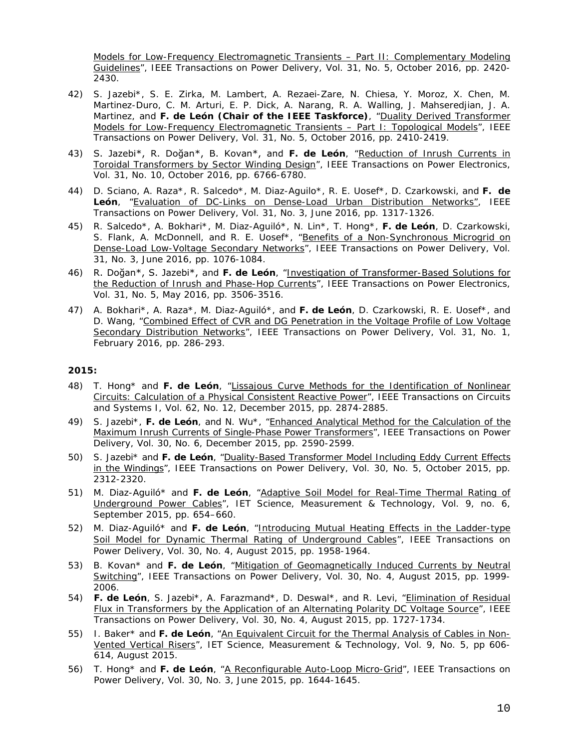*Models for Low-Frequency Electromagnetic Transients – Part II: Complementary Modeling Guidelines*", IEEE Transactions on Power Delivery, Vol. 31, No. 5, October 2016, pp. 2420- 2430.

- 42) S. Jazebi\*, S. E. Zirka, M. Lambert, A. Rezaei-Zare, N. Chiesa, Y. Moroz, X. Chen, M. Martinez-Duro, C. M. Arturi, E. P. Dick, A. Narang, R. A. Walling, J. Mahseredjian, J. A. Martinez, and **F. de León (Chair of the IEEE Taskforce)**, "*Duality Derived Transformer Models for Low-Frequency Electromagnetic Transients – Part I: Topological Models*", IEEE Transactions on Power Delivery, Vol. 31, No. 5, October 2016, pp. 2410-2419.
- 43) S. Jazebi\*, R. Doğan\*, B. Kovan\*, and **F. de León**, "*Reduction of Inrush Currents in Toroidal Transformers by Sector Winding Design*", IEEE Transactions on Power Electronics, Vol. 31, No. 10, October 2016, pp. 6766-6780.
- 44) D. Sciano*,* A. Raza\*, R. Salcedo\**,* M. Diaz-Aguilo\**,* R. E. Uosef\**,* D. Czarkowski, and **F. de León**, "*Evaluation of DC-Links on Dense-Load Urban Distribution Networks"*, IEEE Transactions on Power Delivery, Vol. 31, No. 3, June 2016, pp. 1317-1326.
- 45) R. Salcedo\*, A. Bokhari\*, M. Diaz-Aguiló\*, N. Lin\*, T. Hong\*, **F. de León**, D. Czarkowski, S. Flank, A. McDonnell, and R. E. Uosef\*, "*Benefits of a Non-Synchronous Microgrid on Dense-Load Low-Voltage Secondary Networks*", IEEE Transactions on Power Delivery, Vol. 31, No. 3, June 2016, pp. 1076-1084.
- 46) R. Doğan\*, S. Jazebi\*, and **F. de León**, "*Investigation of Transformer-Based Solutions for the Reduction of Inrush and Phase-Hop Currents*", IEEE Transactions on Power Electronics, Vol. 31, No. 5, May 2016, pp. 3506-3516.
- 47) A. Bokhari\*, A. Raza\*, M. Diaz-Aguiló\*, and **F. de León**, D. Czarkowski, R. E. Uosef\*, and D. Wang, "*Combined Effect of CVR and DG Penetration in the Voltage Profile of Low Voltage Secondary Distribution Networks*", IEEE Transactions on Power Delivery, Vol. 31, No. 1, February 2016, pp. 286-293.

- 48) T. Hong\* and **F. de León**, "*Lissajous Curve Methods for the Identification of Nonlinear Circuits: Calculation of a Physical Consistent Reactive Power*", IEEE Transactions on Circuits and Systems I, Vol. 62, No. 12, December 2015, pp. 2874-2885.
- 49) S. Jazebi\*, **F. de León**, and N. Wu\*, "*Enhanced Analytical Method for the Calculation of the Maximum Inrush Currents of Single-Phase Power Transformers",* IEEE Transactions on Power Delivery, Vol. 30, No. 6, December 2015, pp. 2590-2599.
- 50) S. Jazebi\* and **F. de León**, "*Duality-Based Transformer Model Including Eddy Current Effects in the Windings",* IEEE Transactions on Power Delivery, Vol. 30, No. 5, October 2015, pp. 2312-2320.
- 51) M. Diaz-Aguiló\* and **F. de León**, "*Adaptive Soil Model for Real-Time Thermal Rating of Underground Power Cables*", IET Science, Measurement & Technology, Vol. 9, no. 6, September 2015, pp. 654–660.
- 52) M. Diaz-Aguiló\* and **F. de León**, "*Introducing Mutual Heating Effects in the Ladder-type Soil Model for Dynamic Thermal Rating of Underground Cables*", IEEE Transactions on Power Delivery, Vol. 30, No. 4, August 2015, pp. 1958-1964.
- 53) B. Kovan\* and **F. de León**, "*Mitigation of Geomagnetically Induced Currents by Neutral Switching*", IEEE Transactions on Power Delivery, Vol. 30, No. 4, August 2015, pp. 1999- 2006.
- 54) **F. de León**, S. Jazebi\*, A. Farazmand\*, D. Deswal\*, and R. Levi, "*Elimination of Residual Flux in Transformers by the Application of an Alternating Polarity DC Voltage Source*", IEEE Transactions on Power Delivery, Vol. 30, No. 4, August 2015, pp. 1727-1734.
- 55) I. Baker\* and **F. de León**, "*An Equivalent Circuit for the Thermal Analysis of Cables in Non-Vented Vertical Risers*", IET Science, Measurement & Technology, Vol. 9, No. 5, pp 606- 614, August 2015.
- 56) T. Hong\* and **F. de León**, "*A Reconfigurable Auto-Loop Micro-Grid*", IEEE Transactions on Power Delivery, Vol. 30, No. 3, June 2015, pp. 1644-1645.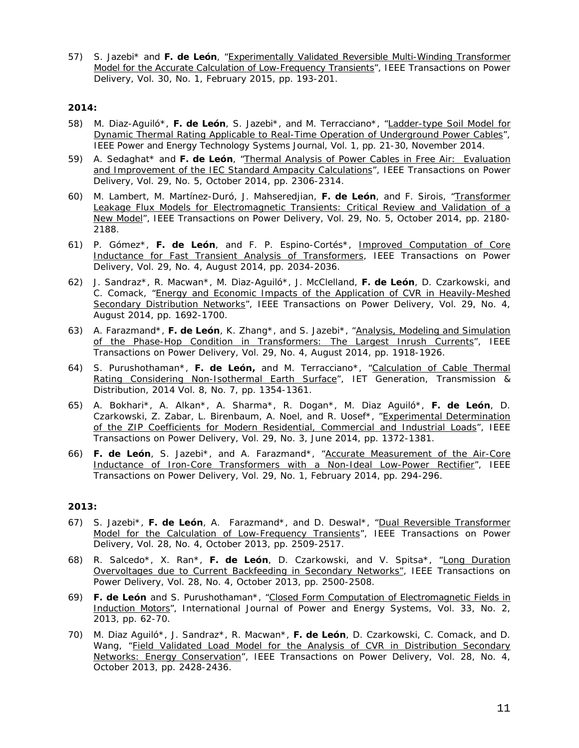57) S. Jazebi\* and **F. de León**, "*Experimentally Validated Reversible Multi-Winding Transformer Model for the Accurate Calculation of Low-Frequency Transients",* IEEE Transactions on Power Delivery, Vol. 30, No. 1, February 2015, pp. 193-201.

### **2014:**

- 58) M. Diaz-Aguiló\*, **F. de León**, S. Jazebi\*, and M. Terracciano\*, "*Ladder-type Soil Model for Dynamic Thermal Rating Applicable to Real-Time Operation of Underground Power Cables*", IEEE Power and Energy Technology Systems Journal, Vol. 1, pp. 21-30, November 2014.
- 59) A. Sedaghat\* and **F. de León**, "*Thermal Analysis of Power Cables in Free Air: Evaluation and Improvement of the IEC Standard Ampacity Calculations*", IEEE Transactions on Power Delivery, Vol. 29, No. 5, October 2014, pp. 2306-2314.
- 60) M. Lambert, M. Martínez-Duró, J. Mahseredjian, **F. de León**, and F. Sirois, "*Transformer Leakage Flux Models for Electromagnetic Transients: Critical Review and Validation of a New Model*", IEEE Transactions on Power Delivery, Vol. 29, No. 5, October 2014, pp. 2180- 2188.
- 61) P. Gómez\*, **F. de León**, and F. P. Espino-Cortés\*, *Improved Computation of Core Inductance for Fast Transient Analysis of Transformers*, IEEE Transactions on Power Delivery, Vol. 29, No. 4, August 2014, pp. 2034-2036.
- 62) J. Sandraz\*, R. Macwan\*, M. Diaz-Aguiló\*, J. McClelland, **F. de León**, D. Czarkowski, and C. Comack, "*Energy and Economic Impacts of the Application of CVR in Heavily-Meshed Secondary Distribution Networks*", IEEE Transactions on Power Delivery, Vol. 29, No. 4, August 2014, pp. 1692-1700.
- 63) A. Farazmand\*, **F. de León**, K. Zhang\*, and S. Jazebi\*, "*Analysis, Modeling and Simulation of the Phase-Hop Condition in Transformers: The Largest Inrush Currents*", IEEE Transactions on Power Delivery, Vol. 29, No. 4, August 2014, pp. 1918-1926.
- 64) S. Purushothaman\*, **F. de León,** and M. Terracciano\*, "*Calculation of Cable Thermal Rating Considering Non-Isothermal Earth Surface*", IET Generation, Transmission & Distribution, 2014 Vol. 8, No. 7, pp. 1354-1361.
- 65) A. Bokhari\*, A. Alkan\*, A. Sharma\*, R. Dogan\*, M. Diaz Aguiló\*, **F. de León**, D. Czarkowski, Z. Zabar, L. Birenbaum, A. Noel, and R. Uosef\*, "*Experimental Determination of the ZIP Coefficients for Modern Residential, Commercial and Industrial Loads*", IEEE Transactions on Power Delivery, Vol. 29, No. 3, June 2014, pp. 1372-1381.
- 66) **F. de León**, S. Jazebi\*, and A. Farazmand\*, "*Accurate Measurement of the Air-Core Inductance of Iron-Core Transformers with a Non-Ideal Low-Power Rectifier*", IEEE Transactions on Power Delivery, Vol. 29, No. 1, February 2014, pp. 294-296.

- 67) S. Jazebi\*, **F. de León**, A. Farazmand\*, and D. Deswal\*, "*Dual Reversible Transformer Model for the Calculation of Low-Frequency Transients*", IEEE Transactions on Power Delivery, Vol. 28, No. 4, October 2013, pp. 2509-2517.
- 68) R. Salcedo\*, X. Ran\*, **F. de León**, D. Czarkowski, and V. Spitsa\*, "*Long Duration Overvoltages due to Current Backfeeding in Secondary Networks"*, IEEE Transactions on Power Delivery, Vol. 28, No. 4, October 2013, pp. 2500-2508.
- 69) **F. de León** and S. Purushothaman\*, "*Closed Form Computation of Electromagnetic Fields in Induction Motors*", International Journal of Power and Energy Systems, Vol. 33, No. 2, 2013, pp. 62-70.
- 70) M. Diaz Aguiló\*, J. Sandraz\*, R. Macwan\*, **F. de León**, D. Czarkowski, C. Comack, and D. Wang, "*Field Validated Load Model for the Analysis of CVR in Distribution Secondary Networks: Energy Conservation*", IEEE Transactions on Power Delivery, Vol. 28, No. 4, October 2013, pp. 2428-2436.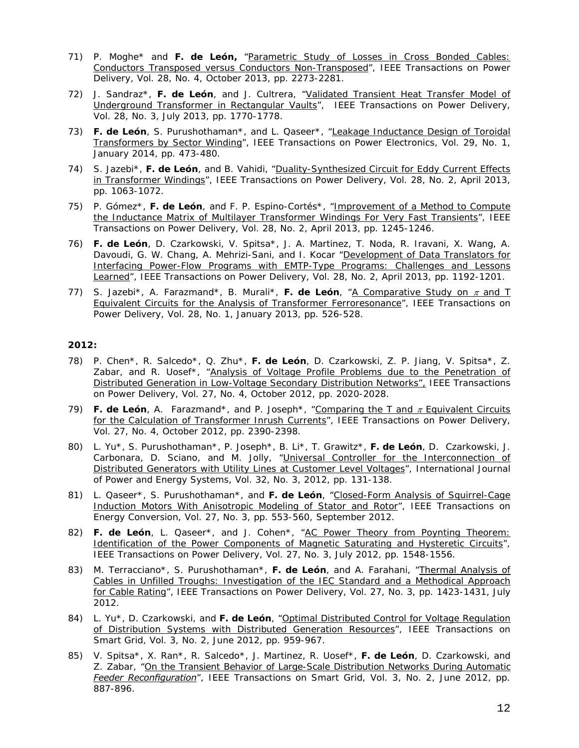- 71) P. Moghe\* and **F. de León,** "*Parametric Study of Losses in Cross Bonded Cables: Conductors Transposed versus Conductors Non-Transposed*", IEEE Transactions on Power Delivery, Vol. 28, No. 4, October 2013, pp. 2273-2281.
- 72) J. Sandraz\*, **F. de León**, and J. Cultrera, "*Validated Transient Heat Transfer Model of Underground Transformer in Rectangular Vaults*", IEEE Transactions on Power Delivery, Vol. 28, No. 3, July 2013, pp. 1770-1778.
- 73) **F. de León**, S. Purushothaman\*, and L. Qaseer\*, "*Leakage Inductance Design of Toroidal Transformers by Sector Winding*", IEEE Transactions on Power Electronics, Vol. 29, No. 1, January 2014, pp. 473-480.
- 74) S. Jazebi\*, **F. de León**, and B. Vahidi, "*Duality-Synthesized Circuit for Eddy Current Effects in Transformer Windings*", IEEE Transactions on Power Delivery, Vol. 28, No. 2, April 2013, pp. 1063-1072.
- 75) P. Gómez\*, **F. de León**, and F. P. Espino-Cortés\*, "*Improvement of a Method to Compute the Inductance Matrix of Multilayer Transformer Windings For Very Fast Transients*", IEEE Transactions on Power Delivery, Vol. 28, No. 2, April 2013, pp. 1245-1246.
- 76) **F. de León**, D. Czarkowski, V. Spitsa\*, J. A. Martinez, T. Noda, R. Iravani, X. Wang, A. Davoudi, G. W. Chang, A. Mehrizi-Sani, and I. Kocar "*Development of Data Translators for Interfacing Power-Flow Programs with EMTP-Type Programs: Challenges and Lessons Learned*", IEEE Transactions on Power Delivery, Vol. 28, No. 2, April 2013, pp. 1192-1201.
- 77) S. Jazebi\*, A. Farazmand\*, B. Murali\*, **F. de León**, "*A Comparative Study on* <sup>π</sup> *and T Equivalent Circuits for the Analysis of Transformer Ferroresonance*", IEEE Transactions on Power Delivery, Vol. 28, No. 1, January 2013, pp. 526-528.

- 78) P. Chen\*, R. Salcedo\*, Q. Zhu\*, **F. de León**, D. Czarkowski, Z. P. Jiang, V. Spitsa\*, Z. Zabar, and R. Uosef\*, "*Analysis of Voltage Profile Problems due to the Penetration of Distributed Generation in Low-Voltage Secondary Distribution Networks",* IEEE Transactions on Power Delivery, Vol. 27, No. 4, October 2012, pp. 2020-2028.
- 79) **F. de León**, A. Farazmand\*, and P. Joseph\*, "*Comparing the T and* <sup>π</sup> *Equivalent Circuits for the Calculation of Transformer Inrush Currents*", IEEE Transactions on Power Delivery, Vol. 27, No. 4, October 2012, pp. 2390-2398.
- 80) L. Yu\*, S. Purushothaman\*, P. Joseph\*, B. Li\*, T. Grawitz\*, **F. de León**, D. Czarkowski, J. Carbonara, D. Sciano, and M. Jolly, "*Universal Controller for the Interconnection of Distributed Generators with Utility Lines at Customer Level Voltages*", International Journal of Power and Energy Systems, Vol. 32, No. 3, 2012, pp. 131-138.
- 81) L. Qaseer\*, S. Purushothaman\*, and **F. de León**, "*Closed-Form Analysis of Squirrel-Cage Induction Motors With Anisotropic Modeling of Stator and Rotor*", IEEE Transactions on Energy Conversion, Vol. 27, No. 3, pp. 553-560, September 2012.
- 82) **F. de León**, L. Qaseer\*, and J. Cohen\*, "*AC Power Theory from Poynting Theorem: Identification of the Power Components of Magnetic Saturating and Hysteretic Circuits*", IEEE Transactions on Power Delivery, Vol. 27, No. 3, July 2012, pp. 1548-1556.
- 83) M. Terracciano\*, S. Purushothaman\*, **F. de León**, and A. Farahani, "*Thermal Analysis of Cables in Unfilled Troughs: Investigation of the IEC Standard and a Methodical Approach for Cable Rating*", IEEE Transactions on Power Delivery, Vol. 27, No. 3, pp. 1423-1431, July 2012.
- 84) L. Yu\*, D. Czarkowski, and **F. de León**, "*Optimal Distributed Control for Voltage Regulation of Distribution Systems with Distributed Generation Resources*", IEEE Transactions on Smart Grid, Vol. 3, No. 2, June 2012, pp. 959-967.
- 85) V. Spitsa\*, X. Ran\*, R. Salcedo\*, J. Martinez, R. Uosef\*, **F. de León**, D. Czarkowski, and Z. Zabar, "*On the Transient Behavior of Large-Scale Distribution Networks During Automatic Feeder Reconfiguration*", IEEE Transactions on Smart Grid, Vol. 3, No. 2, June 2012, pp. 887-896.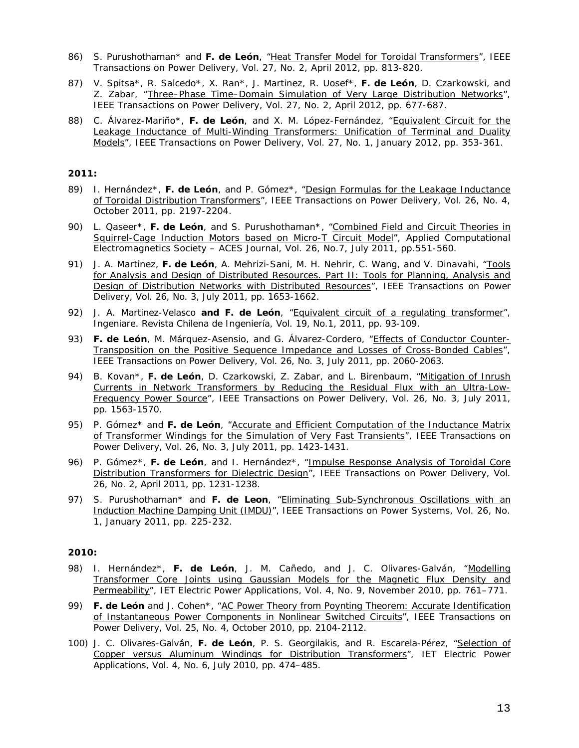- 86) S. Purushothaman\* and **F. de León**, "*Heat Transfer Model for Toroidal Transformers*", IEEE Transactions on Power Delivery, Vol. 27, No. 2, April 2012, pp. 813-820.
- 87) V. Spitsa\*, R. Salcedo\*, X. Ran\*, J. Martinez, R. Uosef\*, **F. de León**, D. Czarkowski, and Z. Zabar, "*Three–Phase Time–Domain Simulation of Very Large Distribution Networks*", IEEE Transactions on Power Delivery, Vol. 27, No. 2, April 2012, pp. 677-687.
- 88) C. Álvarez-Mariño\*, **F. de León**, and X. M. López-Fernández, "*Equivalent Circuit for the Leakage Inductance of Multi-Winding Transformers: Unification of Terminal and Duality Models*", IEEE Transactions on Power Delivery, Vol. 27, No. 1, January 2012, pp. 353-361.

- 89) I. Hernández\*, **F. de León**, and P. Gómez\*, "*Design Formulas for the Leakage Inductance of Toroidal Distribution Transformers",* IEEE Transactions on Power Delivery, Vol. 26, No. 4, October 2011, pp. 2197-2204.
- 90) L. Qaseer\*, **F. de León**, and S. Purushothaman\*, "*Combined Field and Circuit Theories in Squirrel-Cage Induction Motors based on Micro-T Circuit Model*", Applied Computational Electromagnetics Society – ACES Journal, Vol. 26, No.7, July 2011, pp.551-560.
- 91) J. A. Martinez, **F. de León**, A. Mehrizi-Sani, M. H. Nehrir, C. Wang, and V. Dinavahi, "*Tools for Analysis and Design of Distributed Resources. Part II: Tools for Planning, Analysis and Design of Distribution Networks with Distributed Resources*", IEEE Transactions on Power Delivery, Vol. 26, No. 3, July 2011, pp. 1653-1662.
- 92) J. A. Martinez-Velasco **and F. de León**, "*Equivalent circuit of a regulating transformer",* Ingeniare. Revista Chilena de Ingeniería, Vol. 19, No.1, 2011, pp. 93-109.
- 93) **F. de León**, M. Márquez-Asensio, and G. Álvarez-Cordero, "*Effects of Conductor Counter-Transposition on the Positive Sequence Impedance and Losses of Cross-Bonded Cables*", IEEE Transactions on Power Delivery, Vol. 26, No. 3, July 2011, pp. 2060-2063.
- 94) B. Kovan\*, **F. de León**, D. Czarkowski, Z. Zabar, and L. Birenbaum, "*Mitigation of Inrush Currents in Network Transformers by Reducing the Residual Flux with an Ultra-Low-Frequency Power Source*", IEEE Transactions on Power Delivery, Vol. 26, No. 3, July 2011, pp. 1563-1570.
- 95) P. Gómez\* and **F. de León**, "*Accurate and Efficient Computation of the Inductance Matrix of Transformer Windings for the Simulation of Very Fast Transients*", IEEE Transactions on Power Delivery, Vol. 26, No. 3, July 2011, pp. 1423-1431.
- 96) P. Gómez\*, **F. de León**, and I. Hernández\*, "*Impulse Response Analysis of Toroidal Core Distribution Transformers for Dielectric Design*", IEEE Transactions on Power Delivery, Vol. 26, No. 2, April 2011, pp. 1231-1238.
- 97) S. Purushothaman\* and **F. de Leon**, "*Eliminating Sub-Synchronous Oscillations with an Induction Machine Damping Unit (IMDU)*", IEEE Transactions on Power Systems, Vol. 26, No. 1, January 2011, pp. 225-232.

- 98) I. Hernández\*, **F. de León**, J. M. Cañedo, and J. C. Olivares-Galván, "*Modelling Transformer Core Joints using Gaussian Models for the Magnetic Flux Density and Permeability*", IET Electric Power Applications, Vol. 4, No. 9, November 2010, pp. 761–771.
- 99) **F. de León** and J. Cohen\*, "*AC Power Theory from Poynting Theorem: Accurate Identification of Instantaneous Power Components in Nonlinear Switched Circuits*", IEEE Transactions on Power Delivery, Vol. 25, No. 4, October 2010, pp. 2104-2112.
- 100) J. C. Olivares-Galván, **F. de León**, P. S. Georgilakis, and R. Escarela-Pérez, "*Selection of Copper versus Aluminum Windings for Distribution Transformers*", IET Electric Power Applications, Vol. 4, No. 6, July 2010, pp. 474–485.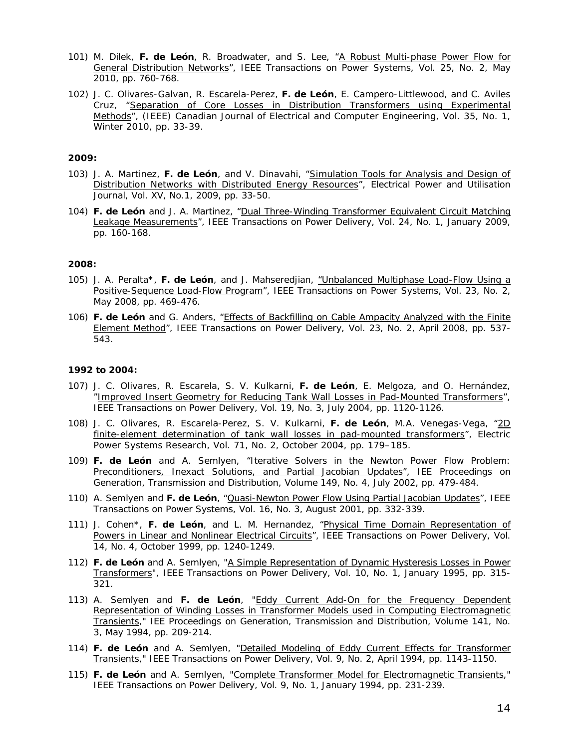- 101) M. Dilek, **F. de León**, R. Broadwater, and S. Lee, "*A Robust Multi-phase Power Flow for General Distribution Networks*", IEEE Transactions on Power Systems, Vol. 25, No. 2, May 2010, pp. 760-768.
- 102) J. C. Olivares-Galvan, R. Escarela-Perez, **F. de León**, E. Campero-Littlewood, and C. Aviles Cruz, "*Separation of Core Losses in Distribution Transformers using Experimental Methods*", (IEEE) Canadian Journal of Electrical and Computer Engineering, Vol. 35, No. 1, Winter 2010, pp. 33-39.

- 103) J. A. Martinez, **F. de León**, and V. Dinavahi, "*Simulation Tools for Analysis and Design of Distribution Networks with Distributed Energy Resources",* Electrical Power and Utilisation Journal, Vol. XV, No.1, 2009, pp. 33-50.
- 104) **F. de León** and J. A. Martinez, "*Dual Three-Winding Transformer Equivalent Circuit Matching Leakage Measurements*", IEEE Transactions on Power Delivery, Vol. 24, No. 1, January 2009, pp. 160-168.

#### **2008:**

- 105) J. A. Peralta\*, **F. de León**, and J. Mahseredjian, *"Unbalanced Multiphase Load-Flow Using a Positive-Sequence Load-Flow Program*", IEEE Transactions on Power Systems, Vol. 23, No. 2, May 2008, pp. 469-476.
- 106) **F. de León** and G. Anders, "*Effects of Backfilling on Cable Ampacity Analyzed with the Finite Element Method*", IEEE Transactions on Power Delivery, Vol. 23, No. 2, April 2008, pp. 537- 543.

#### **1992 to 2004:**

- 107) J. C. Olivares, R. Escarela, S. V. Kulkarni, **F. de León**, E. Melgoza*,* and O. Hernández*, "Improved Insert Geometry for Reducing Tank Wall Losses in Pad-Mounted Transformers",*  IEEE Transactions on Power Delivery, Vol. 19, No. 3, July 2004, pp. 1120-1126.
- 108) J. C. Olivares, R. Escarela-Perez, S. V. Kulkarni, **F. de León***,* M.A. Venegas-Vega, "2D finite-element determination of tank wall losses in pad-mounted transformers", Electric Power Systems Research, Vol. 71, No. 2, October 2004, pp. 179–185.
- 109) **F. de León** and A. Semlyen, "*Iterative Solvers in the Newton Power Flow Problem: Preconditioners, Inexact Solutions, and Partial Jacobian Updates*", IEE Proceedings on Generation, Transmission and Distribution, Volume 149, No. 4, July 2002, pp. 479-484.
- 110) A. Semlyen and **F. de León**, "*Quasi-Newton Power Flow Using Partial Jacobian Updates*", IEEE Transactions on Power Systems, Vol. 16, No. 3, August 2001, pp. 332-339.
- 111) J. Cohen\*, **F. de León**, and L. M. Hernandez, "*Physical Time Domain Representation of Powers in Linear and Nonlinear Electrical Circuits*", IEEE Transactions on Power Delivery, Vol. 14, No. 4, October 1999, pp. 1240-1249.
- 112) **F. de León** and A. Semlyen, "*A Simple Representation of Dynamic Hysteresis Losses in Power Transformers*", IEEE Transactions on Power Delivery, Vol. 10, No. 1, January 1995, pp. 315- 321.
- 113) A. Semlyen and **F. de León**, "*Eddy Current Add-On for the Frequency Dependent Representation of Winding Losses in Transformer Models used in Computing Electromagnetic Transients*," IEE Proceedings on Generation, Transmission and Distribution, Volume 141, No. 3, May 1994, pp. 209-214.
- 114) **F. de León** and A. Semlyen, "*Detailed Modeling of Eddy Current Effects for Transformer Transients*," IEEE Transactions on Power Delivery, Vol. 9, No. 2, April 1994, pp. 1143-1150.
- 115) **F. de León** and A. Semlyen, "*Complete Transformer Model for Electromagnetic Transients*," IEEE Transactions on Power Delivery, Vol. 9, No. 1, January 1994, pp. 231-239.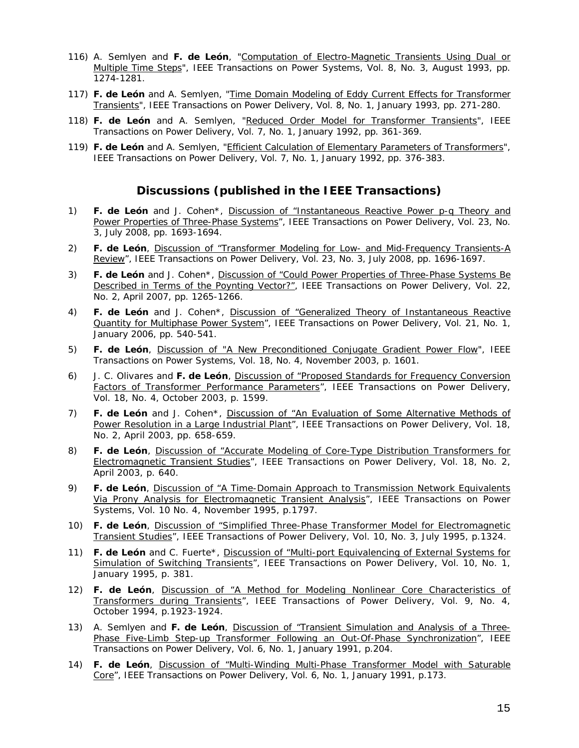- 116) A. Semlyen and **F. de León**, "*Computation of Electro-Magnetic Transients Using Dual or Multiple Time Steps*", IEEE Transactions on Power Systems, Vol. 8, No. 3, August 1993, pp. 1274-1281.
- 117) **F. de León** and A. Semlyen, "*Time Domain Modeling of Eddy Current Effects for Transformer Transients*", IEEE Transactions on Power Delivery, Vol. 8, No. 1, January 1993, pp. 271-280.
- 118) **F. de León** and A. Semlyen, "*Reduced Order Model for Transformer Transients*", IEEE Transactions on Power Delivery, Vol. 7, No. 1, January 1992, pp. 361-369.
- 119) **F. de León** and A. Semlyen, "*Efficient Calculation of Elementary Parameters of Transformers*", IEEE Transactions on Power Delivery, Vol. 7, No. 1, January 1992, pp. 376-383.

## **Discussions (published in the IEEE Transactions)**

- 1) **F. de León** and J. Cohen\*, *Discussion of "Instantaneous Reactive Power p-q Theory and Power Properties of Three-Phase Systems*", IEEE Transactions on Power Delivery, Vol. 23, No. 3, July 2008, pp. 1693-1694.
- 2) **F. de León**, *Discussion of "Transformer Modeling for Low- and Mid-Frequency Transients-A Review*", IEEE Transactions on Power Delivery, Vol. 23, No. 3, July 2008, pp. 1696-1697.
- 3) **F. de León** and J. Cohen\*, Discussion of *"Could Power Properties of Three-Phase Systems Be Described in Terms of the Poynting Vector?*", IEEE Transactions on Power Delivery, Vol. 22, No. 2, April 2007, pp. 1265-1266.
- 4) **F. de León** and J. Cohen\*, *Discussion of* "*Generalized Theory of Instantaneous Reactive Quantity for Multiphase Power System*", IEEE Transactions on Power Delivery, Vol. 21, No. 1, January 2006, pp. 540-541.
- 5) **F. de León**, *Discussion of* "*A New Preconditioned Conjugate Gradient Power Flow*", IEEE Transactions on Power Systems, Vol. 18, No. 4, November 2003, p. 1601.
- 6) J. C. Olivares and **F. de León**, *Discussion of "Proposed Standards for Frequency Conversion Factors of Transformer Performance Parameters*", IEEE Transactions on Power Delivery, Vol. 18, No. 4, October 2003, p. 1599.
- 7) **F. de León** and J. Cohen\*, *Discussion of "An Evaluation of Some Alternative Methods of Power Resolution in a Large Industrial Plant"*, IEEE Transactions on Power Delivery, Vol. 18, No. 2, April 2003, pp. 658-659.
- 8) **F. de León**, *Discussion of "Accurate Modeling of Core-Type Distribution Transformers for Electromagnetic Transient Studies"*, IEEE Transactions on Power Delivery, Vol. 18, No. 2, April 2003, p. 640.
- 9) **F. de León**, *Discussion of "A Time-Domain Approach to Transmission Network Equivalents Via Prony Analysis for Electromagnetic Transient Analysis"*, IEEE Transactions on Power Systems, Vol. 10 No. 4, November 1995, p.1797.
- 10) **F. de León**, *Discussion of "Simplified Three-Phase Transformer Model for Electromagnetic Transient Studies",* IEEE Transactions of Power Delivery, Vol. 10, No. 3, July 1995, p.1324.
- 11) **F. de León** and C. Fuerte\*, *Discussion of "Multi-port Equivalencing of External Systems for Simulation of Switching Transients",* IEEE Transactions on Power Delivery, Vol. 10, No. 1, January 1995, p. 381.
- 12) **F. de León**, *Discussion of "A Method for Modeling Nonlinear Core Characteristics of Transformers during Transients"*, IEEE Transactions of Power Delivery, Vol. 9, No. 4, October 1994, p.1923-1924.
- 13) A. Semlyen and **F. de León**, *Discussion of "Transient Simulation and Analysis of a Three-Phase Five-Limb Step-up Transformer Following an Out-Of-Phase Synchronization",* IEEE Transactions on Power Delivery, Vol. 6, No. 1, January 1991, p.204.
- 14) **F. de León**, *Discussion of "Multi-Winding Multi-Phase Transformer Model with Saturable Core",* IEEE Transactions on Power Delivery, Vol. 6, No. 1, January 1991, p.173.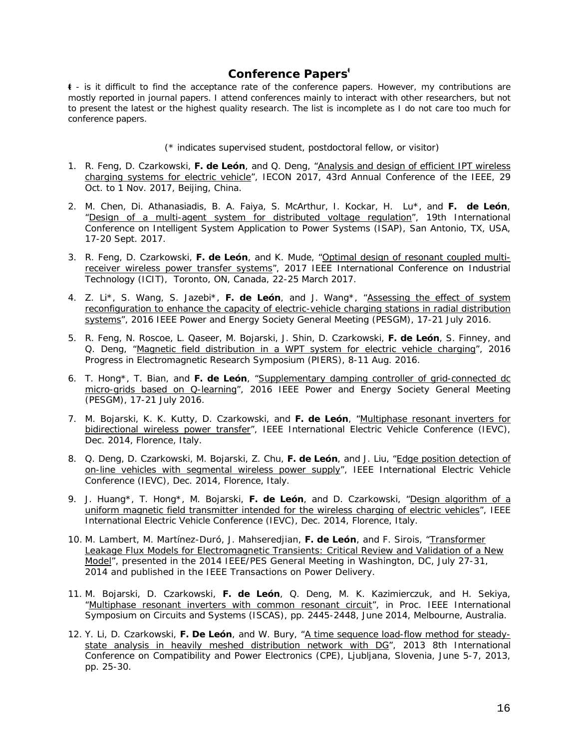### **Conference Papers<sup>ᵵ</sup>**

**ᵵ** - is it difficult to find the acceptance rate of the conference papers. However, my contributions are mostly reported in journal papers. I attend conferences mainly to interact with other researchers, but not to present the latest or the highest quality research. The list is incomplete as I do not care too much for conference papers.

(\* indicates supervised student, postdoctoral fellow, or visitor)

- 1. R. Feng, D. Czarkowski, **F. de León**, and Q. Deng, "*Analysis and design of efficient IPT wireless charging systems for electric vehicle*", IECON 2017, 43rd Annual Conference of the IEEE, 29 Oct. to 1 Nov. 2017, Beijing, China.
- 2. M. Chen, Di. Athanasiadis, B. A. Faiya, S. McArthur, I. Kockar, H. Lu\*, and **F. de León**, "*Design of a multi-agent system for distributed voltage regulation*", 19th International Conference on Intelligent System Application to Power Systems (ISAP), San Antonio, TX, USA, 17-20 Sept. 2017.
- 3. R. Feng, D. Czarkowski, **F. de León**, and K. Mude, "*Optimal design of resonant coupled multireceiver wireless power transfer systems*", 2017 IEEE International Conference on Industrial Technology (ICIT), Toronto, ON, Canada, 22-25 March 2017.
- 4. Z. Li\*, S. Wang, S. Jazebi\*, **F. de León**, and J. Wang\*, "*Assessing the effect of system reconfiguration to enhance the capacity of electric-vehicle charging stations in radial distribution systems*", 2016 IEEE Power and Energy Society General Meeting (PESGM), 17-21 July 2016.
- 5. R. Feng, N. Roscoe, L. Qaseer, M. Bojarski, J. Shin, D. Czarkowski, **F. de León**, S. Finney, and Q. Deng, "*Magnetic field distribution in a WPT system for electric vehicle charging*", 2016 Progress in Electromagnetic Research Symposium (PIERS), 8-11 Aug. 2016.
- 6. T. Hong\*, T. Bian, and **F. de León**, "*Supplementary damping controller of grid-connected dc micro-grids based on Q-learning*", 2016 IEEE Power and Energy Society General Meeting (PESGM), 17-21 July 2016.
- 7. M. Bojarski, K. K. Kutty, D. Czarkowski, and **F. de León**, "*Multiphase resonant inverters for bidirectional wireless power transfer*", IEEE International Electric Vehicle Conference (IEVC), Dec. 2014, Florence, Italy.
- 8. Q. Deng, D. Czarkowski, M. Bojarski, Z. Chu, **F. de León**, and J. Liu, "*Edge position detection of on-line vehicles with segmental wireless power supply*", IEEE International Electric Vehicle Conference (IEVC), Dec. 2014, Florence, Italy.
- 9. J. Huang\*, T. Hong\*, M. Bojarski, **F. de León**, and D. Czarkowski, "*Design algorithm of a uniform magnetic field transmitter intended for the wireless charging of electric vehicles*", IEEE International Electric Vehicle Conference (IEVC), Dec. 2014, Florence, Italy.
- 10. M. Lambert, M. Martínez-Duró, J. Mahseredjian, **F. de León**, and F. Sirois, "*Transformer Leakage Flux Models for Electromagnetic Transients: Critical Review and Validation of a New Model*", presented in the 2014 IEEE/PES General Meeting in Washington, DC, July 27-31, 2014 and published in the IEEE Transactions on Power Delivery.
- 11. M. Bojarski, D. Czarkowski, **F. de León**, Q. Deng, M. K. Kazimierczuk, and H. Sekiya, "*Multiphase resonant inverters with common resonant circuit*", in Proc. IEEE International Symposium on Circuits and Systems (ISCAS), pp. 2445-2448, June 2014, Melbourne, Australia.
- 12. Y. Li, D. Czarkowski, **F. De León**, and W. Bury, "*A time sequence load-flow method for steadystate analysis in heavily meshed distribution network with DG*", 2013 8th International Conference on Compatibility and Power Electronics (CPE), Ljubljana, Slovenia, June 5-7, 2013, pp. 25-30.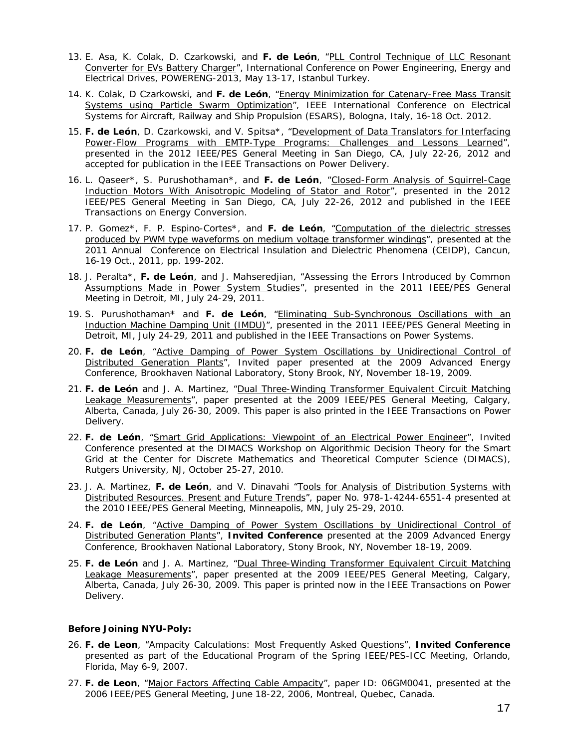- 13. E. Asa, K. Colak, D. Czarkowski, and **F. de León**, "*PLL Control Technique of LLC Resonant Converter for EVs Battery Charger*", International Conference on Power Engineering, Energy and Electrical Drives, POWERENG-2013, May 13-17, Istanbul Turkey.
- 14. K. Colak, D Czarkowski, and **F. de León**, "*Energy Minimization for Catenary-Free Mass Transit Systems using Particle Swarm Optimization*", IEEE International Conference on Electrical Systems for Aircraft, Railway and Ship Propulsion (ESARS), Bologna, Italy, 16-18 Oct. 2012.
- 15. **F. de León**, D. Czarkowski, and V. Spitsa\*, "*Development of Data Translators for Interfacing Power-Flow Programs with EMTP-Type Programs: Challenges and Lessons Learned*", presented in the 2012 IEEE/PES General Meeting in San Diego, CA, July 22-26, 2012 and accepted for publication in the IEEE Transactions on Power Delivery.
- 16. L. Qaseer\*, S. Purushothaman\*, and **F. de León**, "*Closed-Form Analysis of Squirrel-Cage Induction Motors With Anisotropic Modeling of Stator and Rotor*", presented in the 2012 IEEE/PES General Meeting in San Diego, CA, July 22-26, 2012 and published in the IEEE Transactions on Energy Conversion.
- 17. P. Gomez\*, F. P. Espino-Cortes\*, and **F. de León**, "*Computation of the dielectric stresses produced by PWM type waveforms on medium voltage transformer windings*", presented at the 2011 Annual Conference on Electrical Insulation and Dielectric Phenomena (CEIDP), Cancun, 16-19 Oct., 2011, pp. 199-202.
- 18. J. Peralta\*, **F. de León**, and J. Mahseredjian, "*Assessing the Errors Introduced by Common Assumptions Made in Power System Studies*", presented in the 2011 IEEE/PES General Meeting in Detroit, MI, July 24-29, 2011.
- 19. S. Purushothaman\* and **F. de León**, "*Eliminating Sub-Synchronous Oscillations with an Induction Machine Damping Unit (IMDU)*", presented in the 2011 IEEE/PES General Meeting in Detroit, MI, July 24-29, 2011 and published in the IEEE Transactions on Power Systems.
- 20. **F. de León**, "*Active Damping of Power System Oscillations by Unidirectional Control of Distributed Generation Plants*", Invited paper presented at the 2009 Advanced Energy Conference, Brookhaven National Laboratory, Stony Brook, NY, November 18-19, 2009.
- 21. **F. de León** and J. A. Martinez, "*Dual Three-Winding Transformer Equivalent Circuit Matching Leakage Measurements*", paper presented at the 2009 IEEE/PES General Meeting, Calgary, Alberta, Canada, July 26-30, 2009. This paper is also printed in the IEEE Transactions on Power Delivery.
- 22. **F. de León**, "*Smart Grid Applications: Viewpoint of an Electrical Power Engineer*", Invited Conference presented at the DIMACS Workshop on Algorithmic Decision Theory for the Smart Grid at the Center for Discrete Mathematics and Theoretical Computer Science (DIMACS), Rutgers University, NJ, October 25-27, 2010.
- 23. J. A. Martinez, **F. de León**, and V. Dinavahi "*Tools for Analysis of Distribution Systems with Distributed Resources. Present and Future Trends*", paper No. 978-1-4244-6551-4 presented at the 2010 IEEE/PES General Meeting, Minneapolis, MN, July 25-29, 2010.
- 24. **F. de León**, "*Active Damping of Power System Oscillations by Unidirectional Control of Distributed Generation Plants*", **Invited Conference** presented at the 2009 Advanced Energy Conference, Brookhaven National Laboratory, Stony Brook, NY, November 18-19, 2009.
- 25. **F. de León** and J. A. Martinez, "*Dual Three-Winding Transformer Equivalent Circuit Matching Leakage Measurements*", paper presented at the 2009 IEEE/PES General Meeting, Calgary, Alberta, Canada, July 26-30, 2009. This paper is printed now in the IEEE Transactions on Power Delivery.

### **Before Joining NYU-Poly:**

- 26. **F. de Leon**, "*Ampacity Calculations: Most Frequently Asked Questions*", **Invited Conference** presented as part of the Educational Program of the Spring IEEE/PES-ICC Meeting, Orlando, Florida, May 6-9, 2007.
- 27. **F. de Leon**, "*Major Factors Affecting Cable Ampacity*", paper ID: 06GM0041, presented at the 2006 IEEE/PES General Meeting, June 18-22, 2006, Montreal, Quebec, Canada.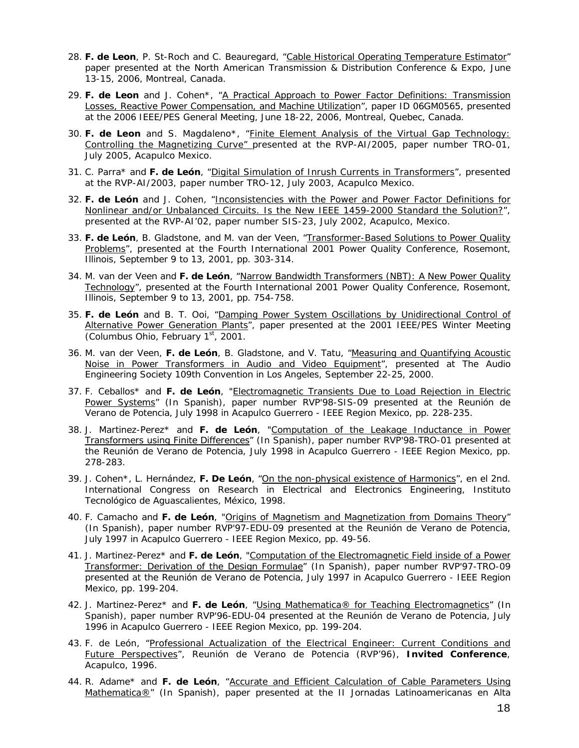- 28. **F. de Leon**, P. St-Roch and C. Beauregard, "*Cable Historical Operating Temperature Estimator*" paper presented at the North American Transmission & Distribution Conference & Expo, June 13-15, 2006, Montreal, Canada.
- 29. **F. de Leon** and J. Cohen\*, "*A Practical Approach to Power Factor Definitions: Transmission Losses, Reactive Power Compensation, and Machine Utilizatio*n", paper ID 06GM0565, presented at the 2006 IEEE/PES General Meeting, June 18-22, 2006, Montreal, Quebec, Canada.
- 30. **F. de Leon** and S. Magdaleno\*, "*Finite Element Analysis of the Virtual Gap Technology: Controlling the Magnetizing Curve"* presented at the RVP-AI/2005, paper number TRO-01, July 2005, Acapulco Mexico.
- 31. C. Parra\* and **F. de León**, "*Digital Simulation of Inrush Currents in Transformers"*, presented at the RVP-AI/2003, paper number TRO-12, July 2003, Acapulco Mexico.
- 32. **F. de León** and J. Cohen, "*Inconsistencies with the Power and Power Factor Definitions for Nonlinear and/or Unbalanced Circuits. Is the New IEEE 1459-2000 Standard the Solution?",* presented at the RVP-AI'02, paper number SIS-23, July 2002, Acapulco, Mexico.
- 33. **F. de León**, B. Gladstone, and M. van der Veen, "*Transformer-Based Solutions to Power Quality Problems*", presented at the Fourth International 2001 Power Quality Conference, Rosemont, Illinois, September 9 to 13, 2001, pp. 303-314.
- 34. M. van der Veen and **F. de León**, "*Narrow Bandwidth Transformers (NBT): A New Power Quality Technology*", presented at the Fourth International 2001 Power Quality Conference, Rosemont, Illinois, September 9 to 13, 2001, pp. 754-758.
- 35. **F. de León** and B. T. Ooi, "*Damping Power System Oscillations by Unidirectional Control of Alternative Power Generation Plants*", paper presented at the 2001 IEEE/PES Winter Meeting (Columbus Ohio, February  $1<sup>st</sup>$ , 2001.
- 36. M. van der Veen, **F. de León**, B. Gladstone, and V. Tatu, "*Measuring and Quantifying Acoustic Noise in Power Transformers in Audio and Video Equipment*", presented at The Audio Engineering Society 109th Convention in Los Angeles, September 22-25, 2000.
- 37. F. Ceballos\* and **F. de León**, "*Electromagnetic Transients Due to Load Rejection in Electric Power Systems*" (In Spanish), paper number RVP'98-SIS-09 presented at the Reunión de Verano de Potencia, July 1998 in Acapulco Guerrero - IEEE Region Mexico, pp. 228-235.
- 38. J. Martinez-Perez\* and **F. de León**, "*Computation of the Leakage Inductance in Power Transformers using Finite Differences*" (In Spanish), paper number RVP'98-TRO-01 presented at the Reunión de Verano de Potencia, July 1998 in Acapulco Guerrero - IEEE Region Mexico, pp. 278-283.
- 39. J. Cohen\*, L. Hernández, **F. De León**, "*On the non-physical existence of Harmonics*", en el 2nd. International Congress on Research in Electrical and Electronics Engineering, Instituto Tecnológico de Aguascalientes, México, 1998.
- 40. F. Camacho and **F. de León**, "*Origins of Magnetism and Magnetization from Domains Theory*" (In Spanish), paper number RVP'97-EDU-09 presented at the Reunión de Verano de Potencia, July 1997 in Acapulco Guerrero - IEEE Region Mexico, pp. 49-56.
- 41. J. Martinez-Perez\* and **F. de León**, "*Computation of the Electromagnetic Field inside of a Power Transformer: Derivation of the Design Formulae*" (In Spanish), paper number RVP'97-TRO-09 presented at the Reunión de Verano de Potencia, July 1997 in Acapulco Guerrero - IEEE Region Mexico, pp. 199-204.
- 42. J. Martinez-Perez\* and **F. de León**, "U*sing Mathematica® for Teaching Electromagnetics*" (In Spanish), paper number RVP'96-EDU-04 presented at the Reunión de Verano de Potencia, July 1996 in Acapulco Guerrero - IEEE Region Mexico, pp. 199-204.
- 43. F. de León, "*Professional Actualization of the Electrical Engineer: Current Conditions and Future Perspectives*", Reunión de Verano de Potencia (RVP'96), **Invited Conference**, Acapulco, 1996.
- 44. R. Adame\* and **F. de León**, "*Accurate and Efficient Calculation of Cable Parameters Using Mathematica®*" (In Spanish), paper presented at the II Jornadas Latinoamericanas en Alta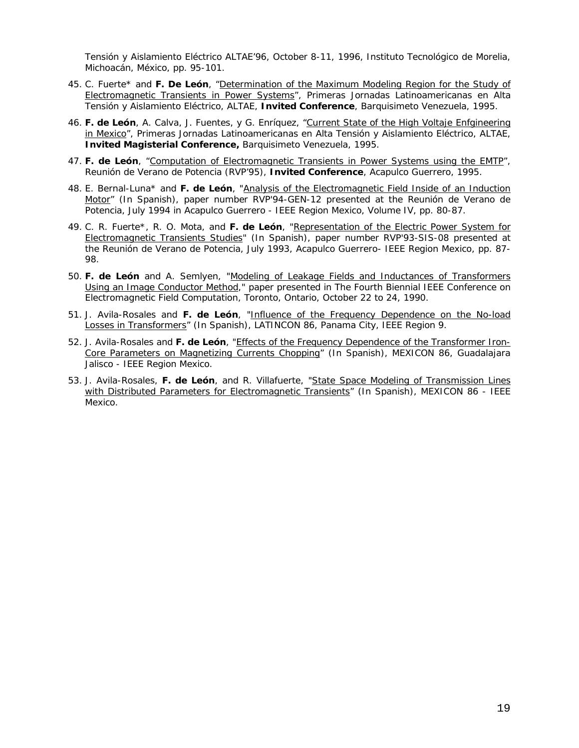Tensión y Aislamiento Eléctrico ALTAE'96, October 8-11, 1996, Instituto Tecnológico de Morelia, Michoacán, México, pp. 95-101.

- 45. C. Fuerte\* and **F. De León**, "*Determination of the Maximum Modeling Region for the Study of Electromagnetic Transients in Power Systems*", Primeras Jornadas Latinoamericanas en Alta Tensión y Aislamiento Eléctrico, ALTAE, **Invited Conference**, Barquisimeto Venezuela, 1995.
- 46. **F. de León**, A. Calva, J. Fuentes, y G. Enríquez, "*Current State of the High Voltaje Enfgineering in Mexico*", Primeras Jornadas Latinoamericanas en Alta Tensión y Aislamiento Eléctrico, ALTAE, **Invited Magisterial Conference,** Barquisimeto Venezuela, 1995.
- 47. **F. de León**, "*Computation of Electromagnetic Transients in Power Systems using the EMTP*", Reunión de Verano de Potencia (RVP'95), **Invited Conference**, Acapulco Guerrero, 1995.
- 48. E. Bernal-Luna\* and **F. de León**, "*Analysis of the Electromagnetic Field Inside of an Induction Motor*" (In Spanish), paper number RVP'94-GEN-12 presented at the Reunión de Verano de Potencia, July 1994 in Acapulco Guerrero - IEEE Region Mexico, Volume IV, pp. 80-87.
- 49. C. R. Fuerte\*, R. O. Mota, and **F. de León**, "*Representation of the Electric Power System for Electromagnetic Transients Studies*" (In Spanish), paper number RVP'93-SIS-08 presented at the Reunión de Verano de Potencia, July 1993, Acapulco Guerrero- IEEE Region Mexico, pp. 87- 98.
- 50. **F. de León** and A. Semlyen, "*Modeling of Leakage Fields and Inductances of Transformers Using an Image Conductor Method*," paper presented in The Fourth Biennial IEEE Conference on Electromagnetic Field Computation, Toronto, Ontario, October 22 to 24, 1990.
- 51. J. Avila-Rosales and **F. de León**, "*Influence of the Frequency Dependence on the No-load Losses in Transformers*" (In Spanish), LATINCON 86, Panama City, IEEE Region 9.
- 52. J. Avila-Rosales and **F. de León**, "*Effects of the Frequency Dependence of the Transformer Iron-Core Parameters on Magnetizing Currents Chopping*" (In Spanish), MEXICON 86, Guadalajara Jalisco - IEEE Region Mexico.
- 53. J. Avila-Rosales, **F. de León**, and R. Villafuerte, "*State Space Modeling of Transmission Lines with Distributed Parameters for Electromagnetic Transients*" (In Spanish), MEXICON 86 - IEEE Mexico.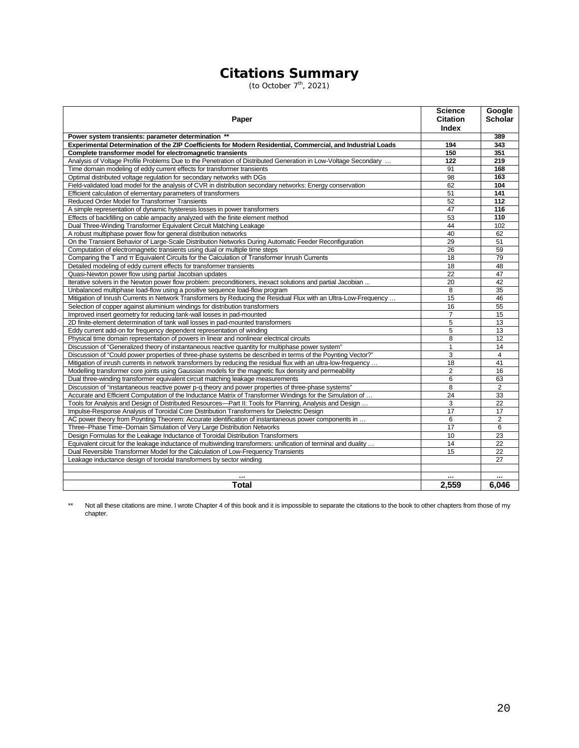# **Citations Summary**

(to October  $7<sup>th</sup>$ , 2021)

|                                                                                                                 |                 | Google          |
|-----------------------------------------------------------------------------------------------------------------|-----------------|-----------------|
| Paper                                                                                                           | <b>Citation</b> | <b>Scholar</b>  |
|                                                                                                                 | Index           |                 |
| Power system transients: parameter determination **                                                             |                 | 389             |
| Experimental Determination of the ZIP Coefficients for Modern Residential, Commercial, and Industrial Loads     | 194             | 343             |
| Complete transformer model for electromagnetic transients                                                       | 150             | 351             |
| Analysis of Voltage Profile Problems Due to the Penetration of Distributed Generation in Low-Voltage Secondary  | 122             | 219             |
| Time domain modeling of eddy current effects for transformer transients                                         | 91              | 168             |
| Optimal distributed voltage regulation for secondary networks with DGs                                          | 98              | 163             |
| Field-validated load model for the analysis of CVR in distribution secondary networks: Energy conservation      | 62              | 104             |
| Efficient calculation of elementary parameters of transformers                                                  | 51              | 141             |
| Reduced Order Model for Transformer Transients                                                                  | 52              | 112             |
| A simple representation of dynamic hysteresis losses in power transformers                                      | 47              | 116             |
| Effects of backfilling on cable ampacity analyzed with the finite element method                                | 53              | 110             |
| Dual Three-Winding Transformer Equivalent Circuit Matching Leakage                                              | 44              | 102             |
| A robust multiphase power flow for general distribution networks                                                | 40              | 62              |
| On the Transient Behavior of Large-Scale Distribution Networks During Automatic Feeder Reconfiguration          | 29              | 51              |
| Computation of electromagnetic transients using dual or multiple time steps                                     | 26              | 59              |
| Comparing the $T$ and $T$ Equivalent Circuits for the Calculation of Transformer Inrush Currents                | 18              | 79              |
| Detailed modeling of eddy current effects for transformer transients                                            | 18              | 48              |
| Quasi-Newton power flow using partial Jacobian updates                                                          | 22              | 47              |
| Iterative solvers in the Newton power flow problem: preconditioners, inexact solutions and partial Jacobian     | 20              | 42              |
| Unbalanced multiphase load-flow using a positive sequence load-flow program                                     | 8               | 35              |
| Mitigation of Inrush Currents in Network Transformers by Reducing the Residual Flux with an Ultra-Low-Frequency | 15              | 46              |
| Selection of copper against aluminium windings for distribution transformers                                    | 16              | 55              |
| Improved insert geometry for reducing tank-wall losses in pad-mounted                                           | $\overline{7}$  | 15              |
| 2D finite-element determination of tank wall losses in pad-mounted transformers                                 | 5               | 13              |
| Eddy current add-on for frequency dependent representation of winding                                           | $\overline{5}$  | 13              |
| Physical time domain representation of powers in linear and nonlinear electrical circuits                       | 8               | 12              |
| Discussion of "Generalized theory of instantaneous reactive quantity for multiphase power system"               | $\mathbf{1}$    | 14              |
| Discussion of "Could power properties of three-phase systems be described in terms of the Poynting Vector?"     | 3               | $\overline{4}$  |
| Mitigation of inrush currents in network transformers by reducing the residual flux with an ultra-low-frequency | 18              | 41              |
| Modelling transformer core joints using Gaussian models for the magnetic flux density and permeability          | $\overline{2}$  | 16              |
| Dual three-winding transformer equivalent circuit matching leakage measurements                                 | 6               | 63              |
| Discussion of "instantaneous reactive power p-q theory and power properties of three-phase systems"             | 8               | 2               |
| Accurate and Efficient Computation of the Inductance Matrix of Transformer Windings for the Simulation of       | 24              | 33              |
| Tools for Analysis and Design of Distributed Resources-Part II: Tools for Planning, Analysis and Design         | 3               | $\overline{22}$ |
| Impulse-Response Analysis of Toroidal Core Distribution Transformers for Dielectric Design                      | $\overline{17}$ | 17              |
| AC power theory from Poynting Theorem: Accurate identification of instantaneous power components in             | 6               | 2               |
| Three-Phase Time-Domain Simulation of Very Large Distribution Networks                                          | 17              | 6               |
| Design Formulas for the Leakage Inductance of Toroidal Distribution Transformers                                | 10              | 23              |
| Equivalent circuit for the leakage inductance of multiwinding transformers: unification of terminal and duality | 14              | $\overline{22}$ |
| Dual Reversible Transformer Model for the Calculation of Low-Frequency Transients                               | 15              | 22              |
| Leakage inductance design of toroidal transformers by sector winding                                            |                 | 27              |
|                                                                                                                 |                 |                 |
|                                                                                                                 |                 |                 |
| <b>Total</b>                                                                                                    | 2.559           | 6.046           |

\*\* Not all these citations are mine. I wrote Chapter 4 of this book and it is impossible to separate the citations to the book to other chapters from those of my chapter.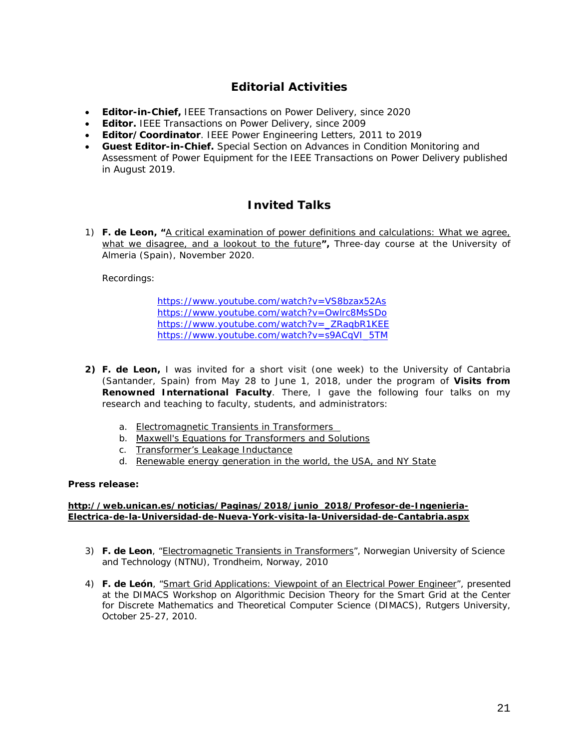## **Editorial Activities**

- *Editor-in-Chief,* IEEE Transactions on Power Delivery, since 2020
- *Editor.* IEEE Transactions on Power Delivery, since 2009
- *Editor/Coordinator*. IEEE Power Engineering Letters, 2011 to 2019
- *Guest Editor-in-Chief.* Special Section on *Advances in Condition Monitoring and Assessment of Power Equipment* for the IEEE Transactions on Power Delivery published in August 2019.

## **Invited Talks**

1) **F. de Leon, "***A critical examination of power definitions and calculations: What we agree, what we disagree, and a lookout to the future***",** Three-day course at the University of Almeria (Spain), November 2020.

Recordings:

<https://www.youtube.com/watch?v=VS8bzax52As> <https://www.youtube.com/watch?v=Owlrc8MsSDo> https://www.youtube.com/watch?v=\_ZRagbR1KEE [https://www.youtube.com/watch?v=s9ACqVI\\_5TM](https://www.youtube.com/watch?v=s9ACqVI_5TM)

- **2) F. de Leon,** I was invited for a short visit (one week) to the University of Cantabria (Santander, Spain) from May 28 to June 1, 2018, under the program of *Visits from Renowned International Faculty*. There, I gave the following four talks on my research and teaching to faculty, students, and administrators:
	- *a. Electromagnetic Transients in Transformers*
	- *b. Maxwell's Equations for Transformers and Solutions*
	- *c. Transformer's Leakage Inductance*
	- *d. Renewable energy generation in the world, the USA, and NY State*

### **Press release:**

**[http://web.unican.es/noticias/Paginas/2018/junio\\_2018/Profesor-de-Ingenieria-](http://web.unican.es/noticias/Paginas/2018/junio_2018/Profesor-de-Ingenieria-Electrica-de-la-Universidad-de-Nueva-York-visita-la-Universidad-de-Cantabria.aspx)[Electrica-de-la-Universidad-de-Nueva-York-visita-la-Universidad-de-Cantabria.aspx](http://web.unican.es/noticias/Paginas/2018/junio_2018/Profesor-de-Ingenieria-Electrica-de-la-Universidad-de-Nueva-York-visita-la-Universidad-de-Cantabria.aspx)**

- 3) **F. de Leon**, "*Electromagnetic Transients in Transformers*", Norwegian University of Science and Technology (NTNU), Trondheim, Norway, 2010
- 4) **F. de León**, "*Smart Grid Applications: Viewpoint of an Electrical Power Engineer*", presented at the DIMACS Workshop on Algorithmic Decision Theory for the Smart Grid at the Center for Discrete Mathematics and Theoretical Computer Science (DIMACS), Rutgers University, October 25-27, 2010.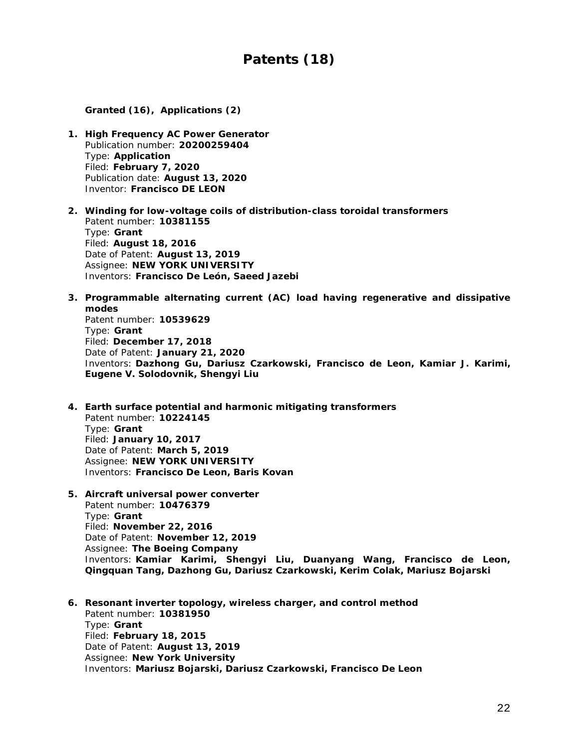# **Patents (18)**

### **Granted (16), Applications (2)**

- **1. High Frequency AC Power Generator** Publication number: **20200259404** Type: **Application** Filed: **February 7, 2020** Publication date: **August 13, 2020** Inventor: **Francisco DE LEON**
- **2. [Winding for low-voltage coils of distribution-class toroidal transformers](https://patents.justia.com/patent/10381155)** Patent number: **10381155** Type: **Grant** Filed: **August 18, 2016** Date of Patent: **August 13, 2019** Assignee: **NEW YORK UNIVERSITY** Inventors: **Francisco De León, Saeed Jazebi**
- **3. [Programmable alternating current \(AC\) load having regenerative and dissipative](https://patents.justia.com/patent/10539629)  [modes](https://patents.justia.com/patent/10539629)** Patent number: **10539629**

Type: **Grant** Filed: **December 17, 2018** Date of Patent: **January 21, 2020** Inventors: **Dazhong Gu, Dariusz Czarkowski, Francisco de Leon, Kamiar J. Karimi, Eugene V. Solodovnik, Shengyi Liu**

- **4. [Earth surface potential and harmonic mitigating transformers](https://patents.justia.com/patent/10224145)** Patent number: **10224145** Type: **Grant** Filed: **January 10, 2017** Date of Patent: **March 5, 2019** Assignee: **NEW YORK UNIVERSITY** Inventors: **Francisco De Leon, Baris Kovan**
- **5. [Aircraft universal power converter](https://patents.justia.com/patent/10476379)** Patent number: **10476379** Type: **Grant** Filed: **November 22, 2016** Date of Patent: **November 12, 2019** Assignee: **The Boeing Company** Inventors: **Kamiar Karimi, Shengyi Liu, Duanyang Wang, Francisco de Leon, Qingquan Tang, Dazhong Gu, Dariusz Czarkowski, Kerim Colak, Mariusz Bojarski**
- **6. [Resonant inverter topology, wireless charger, and control method](https://patents.justia.com/patent/10381950)** Patent number: **10381950** Type: **Grant** Filed: **February 18, 2015** Date of Patent: **August 13, 2019** Assignee: **New York University** Inventors: **Mariusz Bojarski, Dariusz Czarkowski, Francisco De Leon**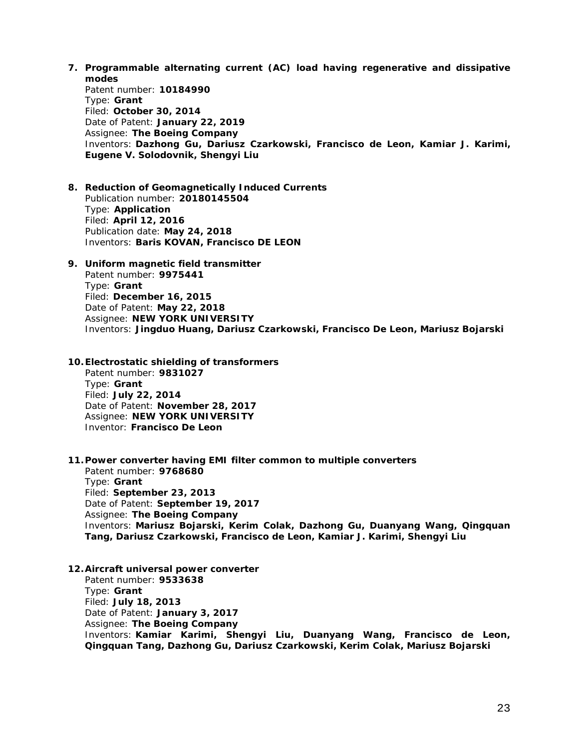**7. [Programmable alternating current \(AC\) load having regenerative and dissipative](https://patents.justia.com/patent/10184990)  [modes](https://patents.justia.com/patent/10184990)**

Patent number: **10184990** Type: **Grant** Filed: **October 30, 2014** Date of Patent: **January 22, 2019** Assignee: **The Boeing Company** Inventors: **Dazhong Gu, Dariusz Czarkowski, Francisco de Leon, Kamiar J. Karimi, Eugene V. Solodovnik, Shengyi Liu**

- **8. [Reduction of Geomagnetically Induced Currents](https://patents.justia.com/patent/20180145504)** Publication number: **20180145504** Type: **Application** Filed: **April 12, 2016** Publication date: **May 24, 2018** Inventors: **Baris KOVAN, Francisco DE LEON**
- **9. [Uniform magnetic field transmitter](https://patents.justia.com/patent/9975441)** Patent number: **9975441** Type: **Grant** Filed: **December 16, 2015** Date of Patent: **May 22, 2018** Assignee: **NEW YORK UNIVERSITY** Inventors: **Jingduo Huang, Dariusz Czarkowski, Francisco De Leon, Mariusz Bojarski**
- **10[.Electrostatic shielding of transformers](https://patents.justia.com/patent/9831027)** Patent number: **9831027** Type: **Grant** Filed: **July 22, 2014** Date of Patent: **November 28, 2017** Assignee: **NEW YORK UNIVERSITY** Inventor: **Francisco De Leon**
- **11[.Power converter having EMI filter common to multiple converters](https://patents.justia.com/patent/9768680)**

Patent number: **9768680** Type: **Grant** Filed: **September 23, 2013** Date of Patent: **September 19, 2017** Assignee: **The Boeing Company** Inventors: **Mariusz Bojarski, Kerim Colak, Dazhong Gu, Duanyang Wang, Qingquan Tang, Dariusz Czarkowski, Francisco de Leon, Kamiar J. Karimi, Shengyi Liu**

**12[.Aircraft universal power converter](https://patents.justia.com/patent/9533638)**

Patent number: **9533638** Type: **Grant** Filed: **July 18, 2013** Date of Patent: **January 3, 2017** Assignee: **The Boeing Company** Inventors: **Kamiar Karimi, Shengyi Liu, Duanyang Wang, Francisco de Leon, Qingquan Tang, Dazhong Gu, Dariusz Czarkowski, Kerim Colak, Mariusz Bojarski**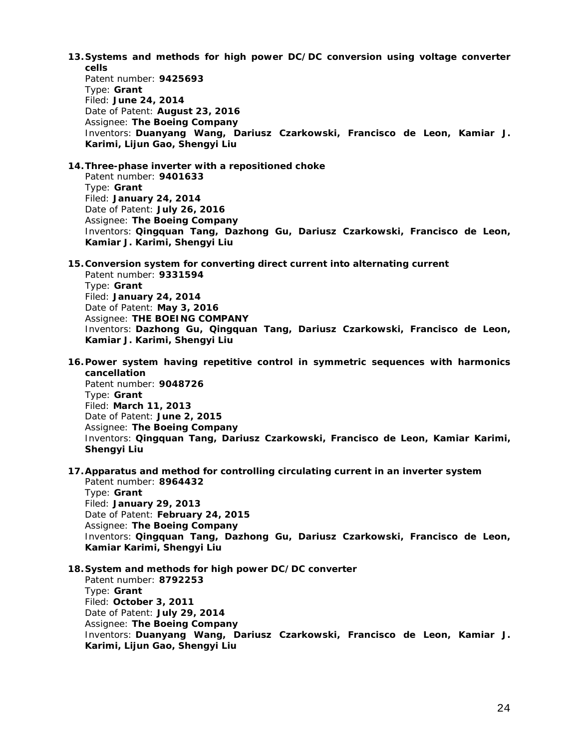**[13.Systems and methods for high power DC/DC conversion using voltage converter](https://patents.justia.com/patent/9425693)  [cells](https://patents.justia.com/patent/9425693)**

Patent number: **9425693** Type: **Grant** Filed: **June 24, 2014** Date of Patent: **August 23, 2016** Assignee: **The Boeing Company** Inventors: **Duanyang Wang, Dariusz Czarkowski, Francisco de Leon, Kamiar J. Karimi, Lijun Gao, Shengyi Liu**

**14.Three-phase inverter [with a repositioned choke](https://patents.justia.com/patent/9401633)**

Patent number: **9401633** Type: **Grant** Filed: **January 24, 2014** Date of Patent: **July 26, 2016** Assignee: **The Boeing Company** Inventors: **Qingquan Tang, Dazhong Gu, Dariusz Czarkowski, Francisco de Leon, Kamiar J. Karimi, Shengyi Liu**

**15[.Conversion system for converting direct current into alternating current](https://patents.justia.com/patent/9331594)** Patent number: **9331594** Type: **Grant** Filed: **January 24, 2014** Date of Patent: **May 3, 2016** Assignee: **THE BOEING COMPANY** Inventors: **Dazhong Gu, Qingquan Tang, Dariusz Czarkowski, Francisco de Leon, Kamiar J. Karimi, Shengyi Liu**

**[16.Power system having repetitive control in symmetric sequences with harmonics](https://patents.justia.com/patent/9048726)  [cancellation](https://patents.justia.com/patent/9048726)**

Patent number: **9048726** Type: **Grant** Filed: **March 11, 2013** Date of Patent: **June 2, 2015** Assignee: **The Boeing Company** Inventors: **Qingquan Tang, Dariusz Czarkowski, Francisco de Leon, Kamiar Karimi, Shengyi Liu**

**17[.Apparatus and method for controlling circulating current in an inverter system](https://patents.justia.com/patent/8964432)**

Patent number: **8964432** Type: **Grant** Filed: **January 29, 2013** Date of Patent: **February 24, 2015** Assignee: **The Boeing Company** Inventors: **Qingquan Tang, Dazhong Gu, Dariusz Czarkowski, Francisco de Leon, Kamiar Karimi, Shengyi Liu**

**18[.System and methods for high power DC/DC converter](https://patents.justia.com/patent/8792253)**

Patent number: **8792253** Type: **Grant** Filed: **October 3, 2011** Date of Patent: **July 29, 2014** Assignee: **The Boeing Company** Inventors: **Duanyang Wang, Dariusz Czarkowski, Francisco de Leon, Kamiar J. Karimi, Lijun Gao, Shengyi Liu**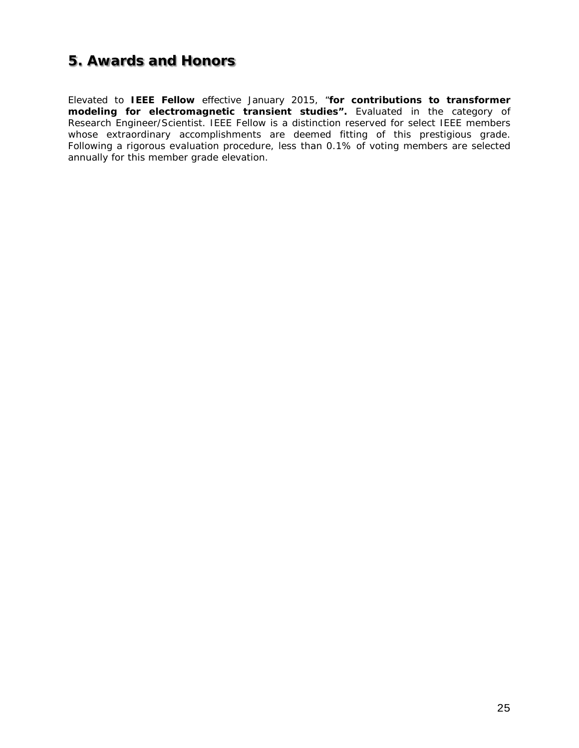# **5. Awards and Honors**

Elevated to **IEEE Fellow** effective January 2015, "*for contributions to transformer modeling for electromagnetic transient studies". Evaluated in the category of Research Engineer/Scientist.* IEEE Fellow is a distinction reserved for select IEEE members whose extraordinary accomplishments are deemed fitting of this prestigious grade. Following a rigorous evaluation procedure, less than 0.1% of voting members are selected annually for this member grade elevation.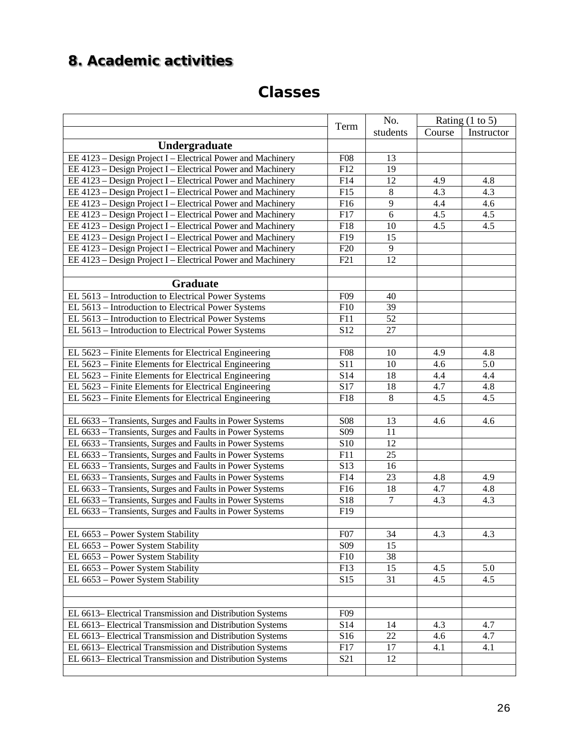# **8. Academic activities**

# **Classes**

|                                                             |                 | No.            | Rating $(1 to 5)$ |            |
|-------------------------------------------------------------|-----------------|----------------|-------------------|------------|
|                                                             | Term            | students       | Course            | Instructor |
| Undergraduate                                               |                 |                |                   |            |
| EE 4123 – Design Project I – Electrical Power and Machinery | <b>F08</b>      | 13             |                   |            |
| EE 4123 – Design Project I – Electrical Power and Machinery | F12             | 19             |                   |            |
| EE 4123 – Design Project I – Electrical Power and Machinery | F14             | 12             | 4.9               | 4.8        |
| EE 4123 – Design Project I – Electrical Power and Machinery | F15             | $8\,$          | 4.3               | 4.3        |
| EE 4123 – Design Project I – Electrical Power and Machinery | F16             | $\overline{9}$ | 4.4               | 4.6        |
| EE 4123 – Design Project I – Electrical Power and Machinery | F17             | $\overline{6}$ | 4.5               | 4.5        |
| EE 4123 – Design Project I – Electrical Power and Machinery | F18             | 10             | 4.5               | 4.5        |
| EE 4123 – Design Project I – Electrical Power and Machinery | F19             | 15             |                   |            |
| EE 4123 – Design Project I – Electrical Power and Machinery | F20             | 9              |                   |            |
| EE 4123 - Design Project I - Electrical Power and Machinery | F21             | 12             |                   |            |
|                                                             |                 |                |                   |            |
| Graduate                                                    |                 |                |                   |            |
| EL 5613 - Introduction to Electrical Power Systems          | F09             | 40             |                   |            |
| EL 5613 – Introduction to Electrical Power Systems          | F10             | 39             |                   |            |
| EL 5613 - Introduction to Electrical Power Systems          | F11             | 52             |                   |            |
| EL 5613 – Introduction to Electrical Power Systems          | S12             | 27             |                   |            |
|                                                             |                 |                |                   |            |
| EL 5623 – Finite Elements for Electrical Engineering        | <b>F08</b>      | 10             | 4.9               | 4.8        |
| EL 5623 – Finite Elements for Electrical Engineering        | S11             | 10             | 4.6               | 5.0        |
| EL 5623 – Finite Elements for Electrical Engineering        | S14             | 18             | 4.4               | 4.4        |
| EL 5623 – Finite Elements for Electrical Engineering        | S17             | 18             | 4.7               | 4.8        |
| EL 5623 – Finite Elements for Electrical Engineering        | F18             | $8\,$          | 4.5               | 4.5        |
|                                                             |                 |                |                   |            |
| EL 6633 – Transients, Surges and Faults in Power Systems    | <b>S08</b>      | 13             | 4.6               | 4.6        |
| EL 6633 – Transients, Surges and Faults in Power Systems    | S <sub>09</sub> | 11             |                   |            |
| EL 6633 - Transients, Surges and Faults in Power Systems    | S10             | 12             |                   |            |
| EL 6633 – Transients, Surges and Faults in Power Systems    | F11             | 25             |                   |            |
| EL 6633 - Transients, Surges and Faults in Power Systems    | S13             | 16             |                   |            |
| EL 6633 – Transients, Surges and Faults in Power Systems    | F14             | 23             | 4.8               | 4.9        |
| EL 6633 - Transients, Surges and Faults in Power Systems    | F16             | 18             | 4.7               | 4.8        |
| EL 6633 – Transients, Surges and Faults in Power Systems    | S18             | $\tau$         | 4.3               | 4.3        |
| EL 6633 – Transients, Surges and Faults in Power Systems    | F19             |                |                   |            |
|                                                             |                 |                |                   |            |
| EL 6653 – Power System Stability                            | F <sub>07</sub> | 34             | 4.3               | 4.3        |
| EL 6653 - Power System Stability                            | S <sub>09</sub> | 15             |                   |            |
| $\overline{\text{EL } 6653}$ – Power System Stability       | F10             | 38             |                   |            |
| EL 6653 - Power System Stability                            | F13             | 15             | 4.5               | 5.0        |
| EL 6653 – Power System Stability                            | S15             | 31             | 4.5               | 4.5        |
|                                                             |                 |                |                   |            |
|                                                             |                 |                |                   |            |
| EL 6613– Electrical Transmission and Distribution Systems   | F09             |                |                   |            |
| EL 6613– Electrical Transmission and Distribution Systems   | S <sub>14</sub> | 14             | 4.3               | 4.7        |
| EL 6613– Electrical Transmission and Distribution Systems   | S <sub>16</sub> | $22\,$         | 4.6               | 4.7        |
| EL 6613– Electrical Transmission and Distribution Systems   | F17             | 17             | 4.1               | 4.1        |
| EL 6613– Electrical Transmission and Distribution Systems   | S <sub>21</sub> | 12             |                   |            |
|                                                             |                 |                |                   |            |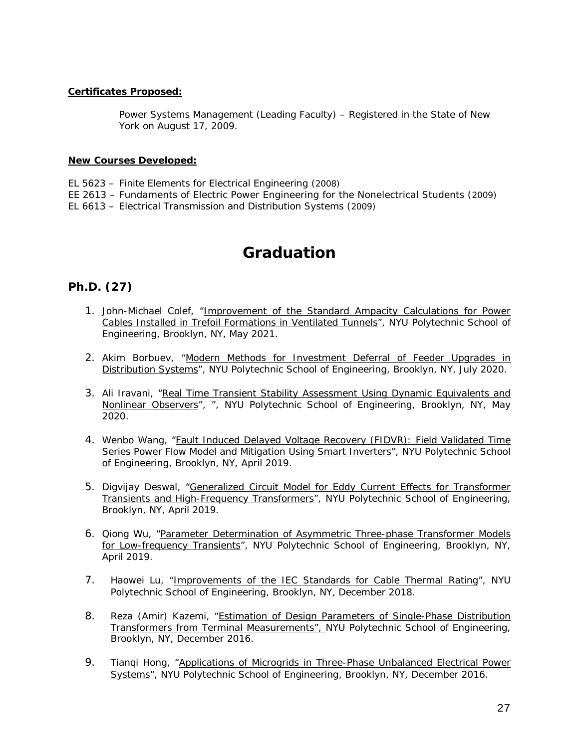### *Certificates Proposed:*

Power Systems Management (Leading Faculty) – Registered in the State of New York on August 17, 2009.

### *New Courses Developed:*

- EL 5623 Finite Elements for Electrical Engineering (2008)
- EE 2613 Fundaments of Electric Power Engineering for the Nonelectrical Students (2009)

EL 6613 – Electrical Transmission and Distribution Systems (2009)

# **Graduation**

## *Ph.D.* **(27)**

- 1. John-Michael Colef, "*Improvement of the Standard Ampacity Calculations for Power Cables Installed in Trefoil Formations in Ventilated Tunnels*", NYU Polytechnic School of Engineering, Brooklyn, NY, May 2021.
- 2. Akim Borbuev, "*Modern Methods for Investment Deferral of Feeder Upgrades in Distribution Systems*", NYU Polytechnic School of Engineering, Brooklyn, NY, July 2020.
- 3. Ali Iravani, "*Real Time Transient Stability Assessment Using Dynamic Equivalents and Nonlinear Observers*", ", NYU Polytechnic School of Engineering, Brooklyn, NY, May 2020.
- 4. Wenbo Wang, "*Fault Induced Delayed Voltage Recovery (FIDVR): Field Validated Time Series Power Flow Model and Mitigation Using Smart Inverters*", NYU Polytechnic School of Engineering, Brooklyn, NY, April 2019.
- 5. Digvijay Deswal, "*Generalized Circuit Model for Eddy Current Effects for Transformer Transients and High-Frequency Transformers*", NYU Polytechnic School of Engineering, Brooklyn, NY, April 2019.
- 6. Qiong Wu, "*Parameter Determination of Asymmetric Three-phase Transformer Models for Low-frequency Transients*", NYU Polytechnic School of Engineering, Brooklyn, NY, April 2019.
- 7. Haowei Lu, "*Improvements of the IEC Standards for Cable Thermal Rating*", NYU Polytechnic School of Engineering, Brooklyn, NY, December 2018.
- 8. Reza (Amir) Kazemi, "*Estimation of Design Parameters of Single-Phase Distribution Transformers from Terminal Measurements",* NYU Polytechnic School of Engineering, Brooklyn, NY, December 2016.
- 9. Tianqi Hong, "*Applications of Microgrids in Three-Phase Unbalanced Electrical Power Systems*", NYU Polytechnic School of Engineering, Brooklyn, NY, December 2016.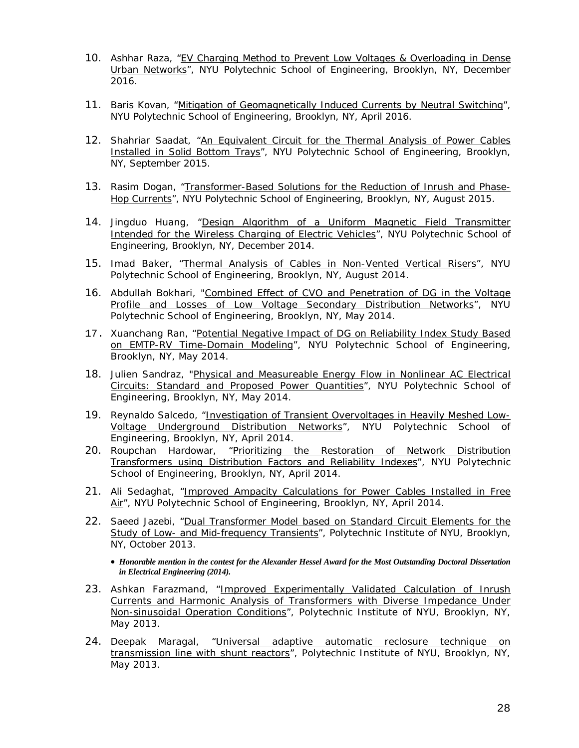- 10. Ashhar Raza, "*EV Charging Method to Prevent Low Voltages & Overloading in Dense Urban Networks*", NYU Polytechnic School of Engineering, Brooklyn, NY, December 2016.
- 11. Baris Kovan, "*Mitigation of Geomagnetically Induced Currents by Neutral Switching",*  NYU Polytechnic School of Engineering, Brooklyn, NY, April 2016.
- 12. Shahriar Saadat*, "An Equivalent Circuit for the Thermal Analysis of Power Cables Installed in Solid Bottom Trays", NYU Polytechnic School of Engineering, Brooklyn, NY, September 2015.*
- 13. Rasim Dogan*, "Transformer-Based Solutions for the Reduction of Inrush and Phase-Hop Currents", NYU Polytechnic School of Engineering, Brooklyn, NY, August 2015.*
- 14. Jingduo Huang, "Design Algorithm of a Uniform Magnetic Field Transmitter Intended for the Wireless Charging of Electric Vehicles", NYU Polytechnic School of Engineering, Brooklyn, NY, December 2014.
- 15. Imad Baker, "Thermal Analysis of Cables in Non-Vented Vertical Risers", NYU Polytechnic School of Engineering, Brooklyn, NY, August 2014.
- 16. Abdullah Bokhari, "Combined Effect of CVO and Penetration of DG in the Voltage Profile and Losses of Low Voltage Secondary Distribution Networks", NYU Polytechnic School of Engineering, Brooklyn, NY, May 2014.
- 17. Xuanchang Ran, "Potential Negative Impact of DG on Reliability Index Study Based on EMTP-RV Time-Domain Modeling", NYU Polytechnic School of Engineering, Brooklyn, NY, May 2014.
- 18. Julien Sandraz, "Physical and Measureable Energy Flow in Nonlinear AC Electrical Circuits: Standard and Proposed Power Quantities", NYU Polytechnic School of Engineering, Brooklyn, NY, May 2014.
- 19. Reynaldo Salcedo, "Investigation of Transient Overvoltages in Heavily Meshed Low-Voltage Underground Distribution Networks", NYU Polytechnic School of Engineering, Brooklyn, NY, April 2014.
- 20. Roupchan Hardowar, "*Prioritizing the Restoration of Network Distribution Transformers using Distribution Factors and Reliability Indexes*", NYU Polytechnic School of Engineering, Brooklyn, NY, April 2014.
- 21. Ali Sedaghat, "*Improved Ampacity Calculations for Power Cables Installed in Free Air*", NYU Polytechnic School of Engineering, Brooklyn, NY, April 2014.
- 22. *Saeed Jazebi, "Dual Transformer Model based on Standard Circuit Elements for the Study of Low- and Mid-frequency Transients", Polytechnic Institute of NYU, Brooklyn, NY, October 2013.*
	- *Honorable mention in the contest for the Alexander Hessel Award for the Most Outstanding Doctoral Dissertation in Electrical Engineering (2014).*
- 23. Ashkan Farazmand, "*Improved Experimentally Validated Calculation of Inrush Currents and Harmonic Analysis of Transformers with Diverse Impedance Under Non-sinusoidal Operation Conditions*", Polytechnic Institute of NYU, Brooklyn, NY, May 2013.
- 24. Deepak Maragal, "*Universal adaptive automatic reclosure technique on transmission line with shunt reactors*", Polytechnic Institute of NYU, Brooklyn, NY, May 2013.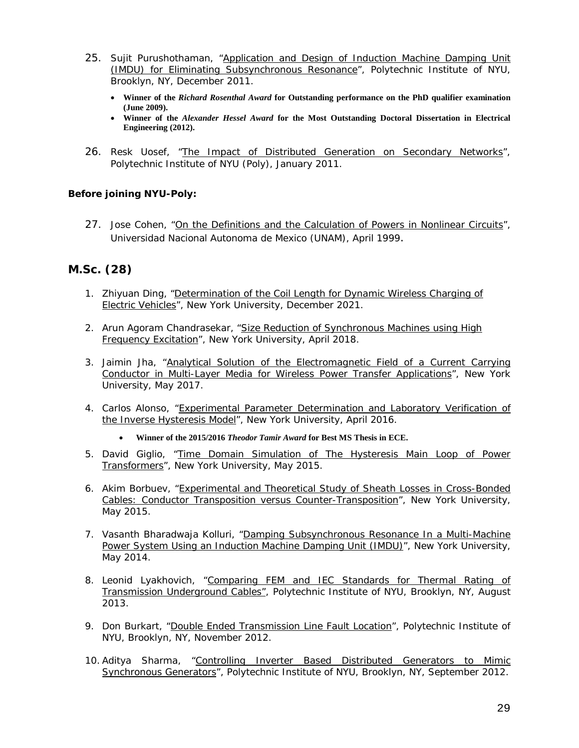- 25. *Sujit Purushothaman, "Application and Design of Induction Machine Damping Unit (IMDU) for Eliminating Subsynchronous Resonance", Polytechnic Institute of NYU, Brooklyn, NY, December 2011.*
	- **Winner of the** *Richard Rosenthal Award* **for Outstanding performance on the PhD qualifier examination (June 2009).**
	- **Winner of the** *Alexander Hessel Award* **for the Most Outstanding Doctoral Dissertation in Electrical Engineering (2012).**
- 26. *Resk Uosef, "The Impact of Distributed Generation on Secondary Networks",* Polytechnic Institute of NYU (Poly), January 2011.

### *Before joining NYU-Poly:*

27. *Jose Cohen, "On the Definitions and the Calculation of Powers in Nonlinear Circuits",*  Universidad Nacional Autonoma de Mexico (UNAM), April 1999*.*

## *M.Sc.* **(28)**

- 1. Zhiyuan Ding, "*Determination of the Coil Length for Dynamic Wireless Charging of Electric Vehicles*", New York University, December 2021.
- 2. Arun Agoram Chandrasekar, "*Size Reduction of Synchronous Machines using High Frequency Excitation*", New York University, April 2018.
- 3. Jaimin Jha, "*Analytical Solution of the Electromagnetic Field of a Current Carrying Conductor in Multi-Layer Media for Wireless Power Transfer Applications*", New York University, May 2017.
- 4. Carlos Alonso, "*Experimental Parameter Determination and Laboratory Verification of the Inverse Hysteresis Model*", New York University, April 2016.
	- **Winner of the 2015/2016** *Theodor Tamir Award* **for Best MS Thesis in ECE.**
- 5. David Giglio, "*Time Domain Simulation of The Hysteresis Main Loop of Power Transformers*", New York University, May 2015.
- 6. Akim Borbuev, "*Experimental and Theoretical Study of Sheath Losses in Cross-Bonded Cables: Conductor Transposition versus Counter-Transposition*", New York University, May 2015.
- 7. Vasanth Bharadwaja Kolluri, "*Damping Subsynchronous Resonance In a Multi-Machine Power System Using an Induction Machine Damping Unit (IMDU)*", New York University, May 2014.
- 8. Leonid Lyakhovich, "*Comparing FEM and IEC Standards for Thermal Rating of Transmission Underground Cables"*, Polytechnic Institute of NYU, Brooklyn, NY, August 2013.
- 9. Don Burkart, "*Double Ended Transmission Line Fault Location*", Polytechnic Institute of NYU, Brooklyn, NY, November 2012.
- 10. Aditya Sharma, "*Controlling Inverter Based Distributed Generators to Mimic Synchronous Generators*", Polytechnic Institute of NYU, Brooklyn, NY, September 2012.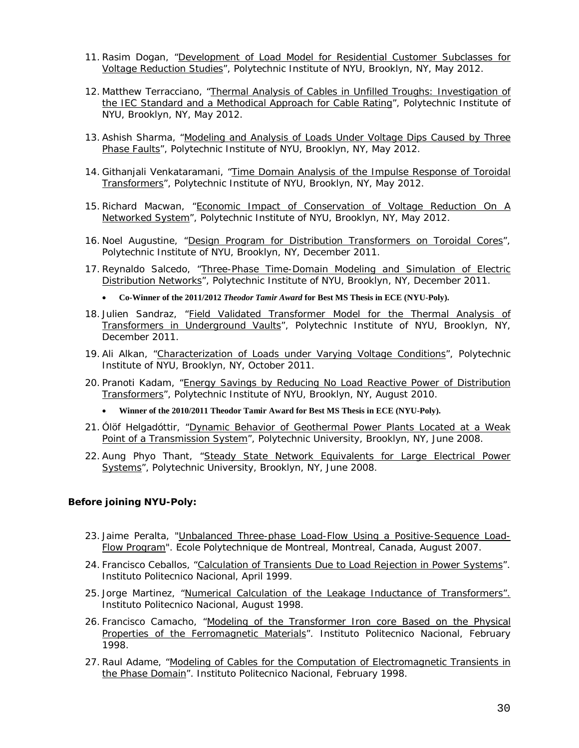- 11. Rasim Dogan, "*Development of Load Model for Residential Customer Subclasses for Voltage Reduction Studies*", Polytechnic Institute of NYU, Brooklyn, NY, May 2012.
- 12. Matthew Terracciano, "*Thermal Analysis of Cables in Unfilled Troughs: Investigation of the IEC Standard and a Methodical Approach for Cable Rating*", Polytechnic Institute of NYU, Brooklyn, NY, May 2012.
- 13. Ashish Sharma, "*Modeling and Analysis of Loads Under Voltage Dips Caused by Three Phase Faults*", Polytechnic Institute of NYU, Brooklyn, NY, May 2012.
- 14. Githanjali Venkataramani, "*Time Domain Analysis of the Impulse Response of Toroidal Transformers*", Polytechnic Institute of NYU, Brooklyn, NY, May 2012.
- 15. Richard Macwan, "*Economic Impact of Conservation of Voltage Reduction On A Networked System*", Polytechnic Institute of NYU, Brooklyn, NY, May 2012.
- 16. Noel Augustine, "*Design Program for Distribution Transformers on Toroidal Cores*", Polytechnic Institute of NYU, Brooklyn, NY, December 2011.
- 17. Reynaldo Salcedo, "*Three-Phase Time-Domain Modeling and Simulation of Electric Distribution Networks*", Polytechnic Institute of NYU, Brooklyn, NY, December 2011.
	- **Co-Winner of the 2011/2012** *Theodor Tamir Award* **for Best MS Thesis in ECE (NYU-Poly).**
- 18. Julien Sandraz, "*Field Validated Transformer Model for the Thermal Analysis of Transformers in Underground Vaults*", Polytechnic Institute of NYU, Brooklyn, NY, December 2011.
- 19. Ali Alkan, *"Characterization of Loads under Varying Voltage Conditions*", Polytechnic Institute of NYU, Brooklyn, NY, October 2011.
- 20. Pranoti Kadam, "*Energy Savings by Reducing No Load Reactive Power of Distribution Transformers*", Polytechnic Institute of NYU, Brooklyn, NY, August 2010.
	- **Winner of the 2010/2011 Theodor Tamir Award for Best MS Thesis in ECE (NYU-Poly).**
- 21. Ólöf Helgadóttir, "*Dynamic Behavior of Geothermal Power Plants Located at a Weak Point of a Transmission System"*, Polytechnic University, Brooklyn, NY, June 2008.
- 22. Aung Phyo Thant, "*Steady State Network Equivalents for Large Electrical Power Systems*", Polytechnic University, Brooklyn, NY, June 2008.

### *Before joining NYU-Poly:*

- 23. Jaime Peralta, "Unbalanced Three-phase Load-Flow Using a Positive-Sequence Load-Flow Program". Ecole Polytechnique de Montreal, Montreal, Canada, August 2007.
- 24. Francisco Ceballos, "*Calculation of Transients Due to Load Rejection in Power Systems*". Instituto Politecnico Nacional, April 1999.
- 25. Jorge Martinez, "*Numerical Calculation of the Leakage Inductance of Transformers".* Instituto Politecnico Nacional, August 1998.
- 26. Francisco Camacho, "*Modeling of the Transformer Iron core Based on the Physical Properties of the Ferromagnetic Materials*". Instituto Politecnico Nacional, February 1998.
- 27. Raul Adame, "*Modeling of Cables for the Computation of Electromagnetic Transients in the Phase Domain*". Instituto Politecnico Nacional, February 1998.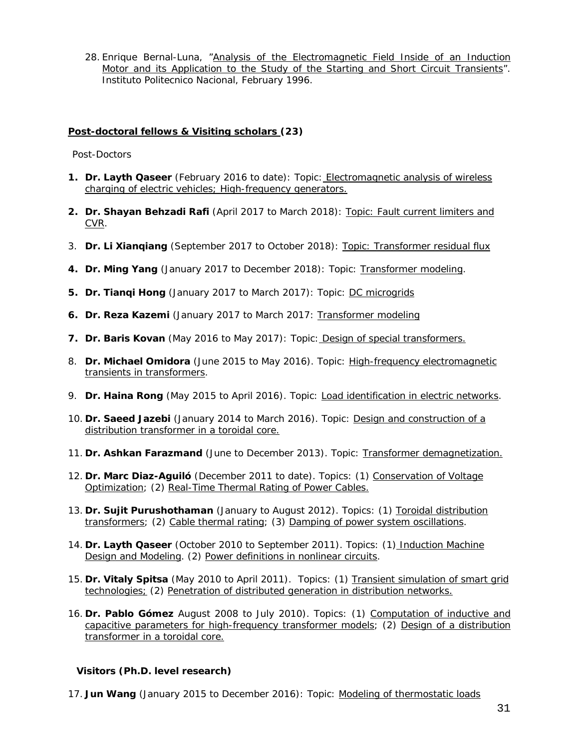28. Enrique Bernal-Luna, "*Analysis of the Electromagnetic Field Inside of an Induction Motor and its Application to the Study of the Starting and Short Circuit Transients*". Instituto Politecnico Nacional, February 1996.

### *Post-doctoral fellows & Visiting scholars* **(23)**

*Post-Doctors* 

- **1. Dr. Layth Qaseer** (February 2016 to date): Topic: *Electromagnetic analysis of wireless charging of electric vehicles; High-frequency generators.*
- **2. Dr. Shayan Behzadi Rafi** (April 2017 to March 2018): *Topic: Fault current limiters and CVR*.
- 3. **Dr. Li Xianqiang** (September 2017 to October 2018): *Topic: Transformer residual flux*
- **4. Dr. Ming Yang** (January 2017 to December 2018): Topic: *Transformer modeling*.
- **5. Dr. Tianqi Hong** (January 2017 to March 2017): Topic: *DC microgrids*
- **6. Dr. Reza Kazemi** (January 2017 to March 2017: Transformer modeling
- **7. Dr. Baris Kovan** (May 2016 to May 2017): Topic: *Design of special transformers.*
- 8. **Dr. Michael Omidora** (June 2015 to May 2016). Topic: *High-frequency electromagnetic transients in transformers*.
- 9. **Dr. Haina Rong** (May 2015 to April 2016). Topic: *Load identification in electric networks*.
- *10.* **Dr. Saeed Jazebi** (January 2014 to March 2016). Topic: *Design and construction of a distribution transformer in a toroidal core.*
- *11.* **Dr. Ashkan Farazmand** (June to December 2013). Topic: *Transformer demagnetization.*
- *12.* **Dr. Marc Diaz-Aguiló** (December 2011 to date). Topics: (1) *Conservation of Voltage Optimization*; (2) *Real-Time Thermal Rating of Power Cables.*
- 13. **Dr. Sujit Purushothaman** (January to August 2012). Topics: (1) *Toroidal distribution transformers*; (2) *Cable thermal rating*; (3) *Damping of power system oscillations*.
- 14. **Dr. Layth Qaseer** (October 2010 to September 2011). Topics: (1) *Induction Machine Design and Modeling*. (2) *Power definitions in nonlinear circuits*.
- 15. **Dr. Vitaly Spitsa** (May 2010 to April 2011). Topics: (1) *Transient simulation of smart grid technologies;* (2) *Penetration of distributed generation in distribution networks.*
- 16. **Dr. Pablo Gómez** August 2008 to July 2010). Topics: (1) *Computation of inductive and capacitive parameters for high-frequency transformer models*; (2) *Design of a distribution transformer in a toroidal core.*

### *Visitors (Ph.D. level research)*

17. **Jun Wang** (January 2015 to December 2016): Topic: *Modeling of thermostatic loads*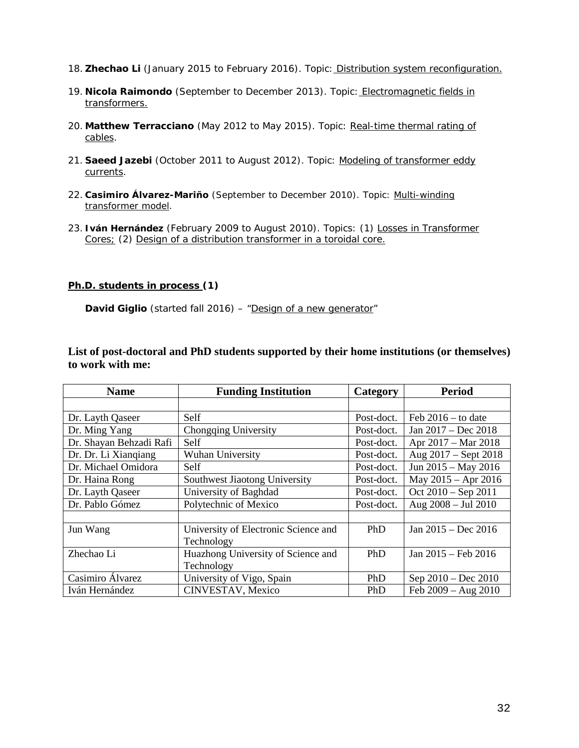- 18. **Zhechao Li** (January 2015 to February 2016). Topic: *Distribution system reconfiguration.*
- *19.* **Nicola Raimondo** (September to December 2013). Topic: *Electromagnetic fields in transformers.*
- 20. **Matthew Terracciano** (May 2012 to May 2015). Topic: *Real-time thermal rating of cables*.
- 21. **Saeed Jazebi** (October 2011 to August 2012). Topic: *Modeling of transformer eddy currents*.
- 22. **Casimiro Álvarez-Mariño** (September to December 2010). Topic: *Multi-winding transformer model*.
- 23. **Iván Hernández** (February 2009 to August 2010). Topics: (1) *Losses in Transformer Cores*; (2) *Design of a distribution transformer in a toroidal core.*

### *Ph.D. students in process* **(1)**

**David Giglio** (started fall 2016) – "*Design of a new generator*"

**List of post-doctoral and PhD students supported by their home institutions (or themselves) to work with me:**

| <b>Name</b>             | <b>Funding Institution</b>           | Category   | <b>Period</b>            |
|-------------------------|--------------------------------------|------------|--------------------------|
|                         |                                      |            |                          |
| Dr. Layth Qaseer        | Self                                 | Post-doct. | Feb $2016 -$ to date     |
| Dr. Ming Yang           | Chongqing University                 | Post-doct. | Jan 2017 – Dec 2018      |
| Dr. Shayan Behzadi Rafi | Self                                 | Post-doct. | Apr 2017 – Mar 2018      |
| Dr. Dr. Li Xiangiang    | <b>Wuhan University</b>              | Post-doct. | Aug $2017 -$ Sept $2018$ |
| Dr. Michael Omidora     | Self                                 | Post-doct. | Jun 2015 - May 2016      |
| Dr. Haina Rong          | Southwest Jiaotong University        | Post-doct. | May 2015 - Apr 2016      |
| Dr. Layth Qaseer        | University of Baghdad                | Post-doct. | Oct 2010 - Sep 2011      |
| Dr. Pablo Gómez         | Polytechnic of Mexico                | Post-doct. | Aug 2008 - Jul 2010      |
|                         |                                      |            |                          |
| Jun Wang                | University of Electronic Science and | PhD        | Jan 2015 – Dec 2016      |
|                         | Technology                           |            |                          |
| Zhechao Li              | Huazhong University of Science and   | PhD        | Jan 2015 – Feb 2016      |
|                         | Technology                           |            |                          |
| Casimiro Álvarez        | University of Vigo, Spain            | PhD        | Sep 2010 - Dec 2010      |
| Iván Hernández          | CINVESTAV, Mexico                    | PhD        | Feb 2009 - Aug 2010      |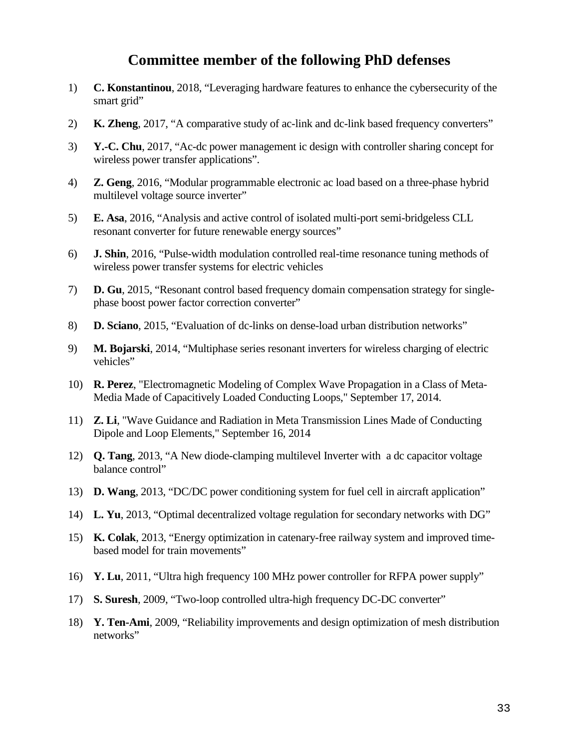# **Committee member of the following PhD defenses**

- 1) **C. Konstantinou**, 2018, "Leveraging hardware features to enhance the cybersecurity of the smart grid"
- 2) **K. Zheng**, 2017, "A comparative study of ac-link and dc-link based frequency converters"
- 3) **Y.-C. Chu**, 2017, "Ac-dc power management ic design with controller sharing concept for wireless power transfer applications".
- 4) **Z. Geng**, 2016, "Modular programmable electronic ac load based on a three-phase hybrid multilevel voltage source inverter"
- 5) **E. Asa**, 2016, "Analysis and active control of isolated multi-port semi-bridgeless CLL resonant converter for future renewable energy sources"
- 6) **J. Shin**, 2016, "Pulse-width modulation controlled real-time resonance tuning methods of wireless power transfer systems for electric vehicles
- 7) **D. Gu**, 2015, "Resonant control based frequency domain compensation strategy for singlephase boost power factor correction converter"
- 8) **D. Sciano**, 2015, "Evaluation of dc-links on dense-load urban distribution networks"
- 9) **M. Bojarski**, 2014, "Multiphase series resonant inverters for wireless charging of electric vehicles"
- 10) **R. Perez**, "Electromagnetic Modeling of Complex Wave Propagation in a Class of Meta-Media Made of Capacitively Loaded Conducting Loops," September 17, 2014.
- 11) **Z. Li**, "Wave Guidance and Radiation in Meta Transmission Lines Made of Conducting Dipole and Loop Elements," September 16, 2014
- 12) **Q. Tang**, 2013, "A New diode-clamping multilevel Inverter with a dc capacitor voltage balance control"
- 13) **D. Wang**, 2013, "DC/DC power conditioning system for fuel cell in aircraft application"
- 14) **L. Yu**, 2013, "Optimal decentralized voltage regulation for secondary networks with DG"
- 15) **K. Colak**, 2013, "Energy optimization in catenary-free railway system and improved timebased model for train movements"
- 16) **Y. Lu**, 2011, "Ultra high frequency 100 MHz power controller for RFPA power supply"
- 17) **S. Suresh**, 2009, "Two-loop controlled ultra-high frequency DC-DC converter"
- 18) **Y. Ten-Ami**, 2009, "Reliability improvements and design optimization of mesh distribution networks"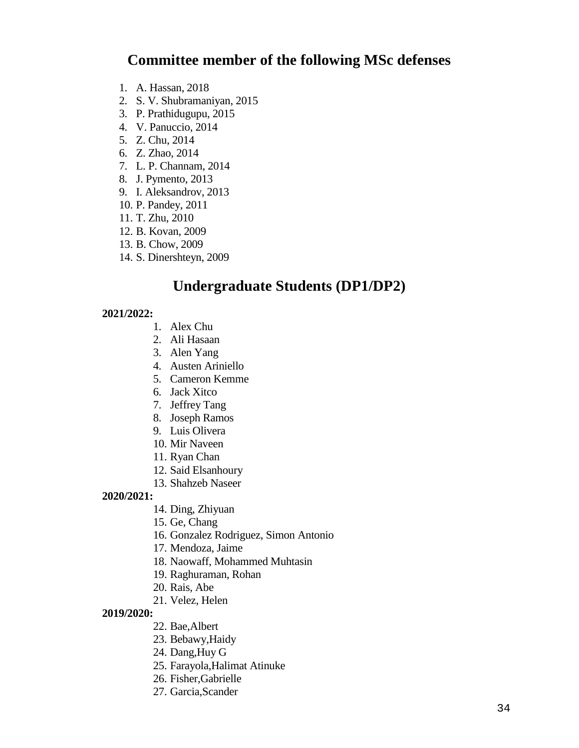# **Committee member of the following MSc defenses**

- 1. A. Hassan, 2018
- 2. S. V. Shubramaniyan, 2015
- 3. P. Prathidugupu, 2015
- 4. V. Panuccio, 2014
- 5. Z. Chu, 2014
- 6. Z. Zhao, 2014
- 7. L. P. Channam, 2014
- 8. J. Pymento, 2013
- 9. I. Aleksandrov, 2013
- 10. P. Pandey, 2011
- 11. T. Zhu, 2010
- 12. B. Kovan, 2009
- 13. B. Chow, 2009
- 14. S. Dinershteyn, 2009

# **Undergraduate Students (DP1/DP2)**

### **2021/2022:**

- 1. Alex Chu
- 2. Ali Hasaan
- 3. Alen Yang
- 4. Austen Ariniello
- 5. Cameron Kemme
- 6. Jack Xitco
- 7. Jeffrey Tang
- 8. Joseph Ramos
- 9. Luis Olivera
- 10. Mir Naveen
- 11. Ryan Chan
- 12. Said Elsanhoury
- 13. Shahzeb Naseer

### **2020/2021:**

- 14. Ding, Zhiyuan
- 15. Ge, Chang
- 16. Gonzalez Rodriguez, Simon Antonio
- 17. Mendoza, Jaime
- 18. Naowaff, Mohammed Muhtasin
- 19. Raghuraman, Rohan
- 20. Rais, Abe
- 21. Velez, Helen

### **2019/2020:**

- 22. Bae,Albert
- 23. Bebawy,Haidy
- 24. Dang,Huy G
- 25. Farayola,Halimat Atinuke
- 26. Fisher,Gabrielle
- 27. Garcia,Scander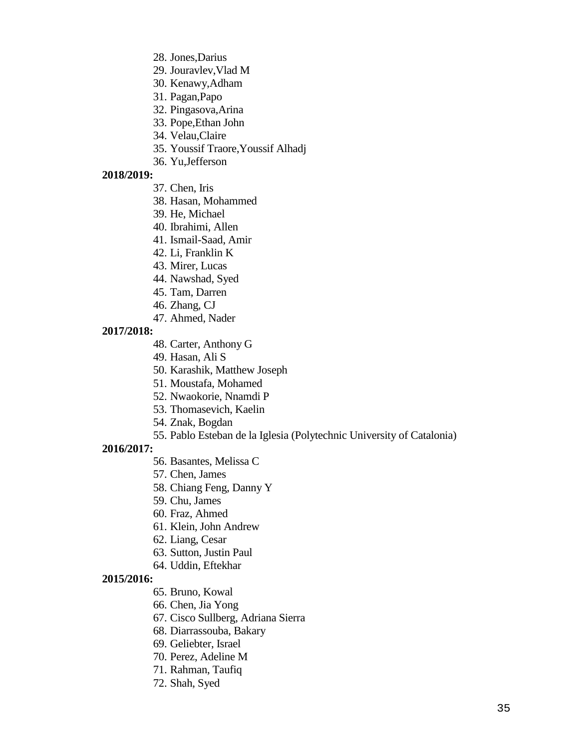- 28. Jones,Darius
- 29. Jouravlev,Vlad M
- 30. Kenawy,Adham
- 31. Pagan,Papo
- 32. Pingasova,Arina
- 33. Pope,Ethan John
- 34. Velau,Claire
- 35. Youssif Traore,Youssif Alhadj
- 36. Yu,Jefferson

### **2018/2019:**

- 37. Chen, Iris
- 38. Hasan, Mohammed
- 39. He, Michael
- 40. Ibrahimi, Allen
- 41. Ismail-Saad, Amir
- 42. Li, Franklin K
- 43. Mirer, Lucas
- 44. Nawshad, Syed
- 45. Tam, Darren
- 46. Zhang, CJ
- 47. Ahmed, Nader
- **2017/2018:** 
	- 48. Carter, Anthony G
	- 49. Hasan, Ali S
	- 50. Karashik, Matthew Joseph
	- 51. Moustafa, Mohamed
	- 52. Nwaokorie, Nnamdi P
	- 53. Thomasevich, Kaelin
	- 54. Znak, Bogdan
	- 55. Pablo Esteban de la Iglesia (Polytechnic University of Catalonia)

### **2016/2017:**

- 56. Basantes, Melissa C
- 57. Chen, James
- 58. Chiang Feng, Danny Y
- 59. Chu, James
- 60. Fraz, Ahmed
- 61. Klein, John Andrew
- 62. Liang, Cesar
- 63. Sutton, Justin Paul
- 64. Uddin, Eftekhar

### **2015/2016:**

- 65. Bruno, Kowal
- 66. Chen, Jia Yong
- 67. Cisco Sullberg, Adriana Sierra
- 68. Diarrassouba, Bakary
- 69. Geliebter, Israel
- 70. Perez, Adeline M
- 71. Rahman, Taufiq
- 72. Shah, Syed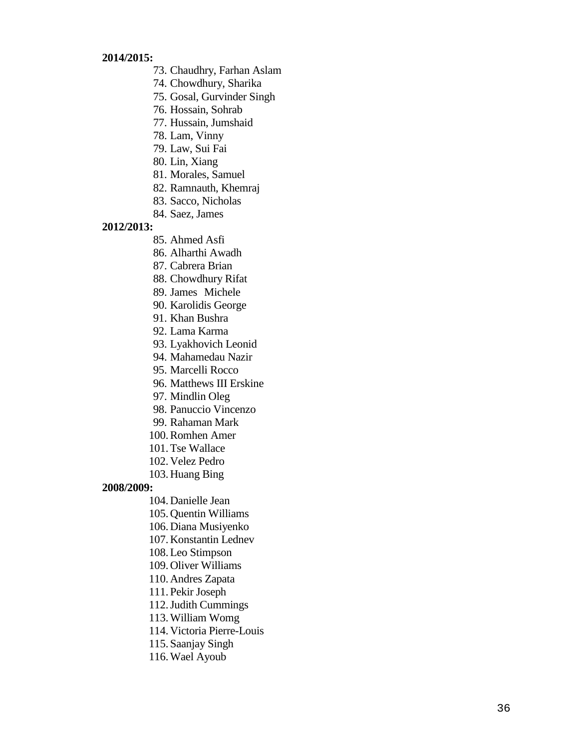### **2014/2015:**

- 73. Chaudhry, Farhan Aslam
- 74. Chowdhury, Sharika
- 75. Gosal, Gurvinder Singh
- 76. Hossain, Sohrab
- 77. Hussain, Jumshaid
- 78. Lam, Vinny
- 79. Law, Sui Fai
- 80. Lin, Xiang
- 81. Morales, Samuel
- 82. Ramnauth, Khemraj
- 83. Sacco, Nicholas
- 84. Saez, James

### **2012/2013:**

- 85. Ahmed Asfi
- 86. Alharthi Awadh
- 87. Cabrera Brian
- 88. Chowdhury Rifat
- 89. James Michele
- 90. Karolidis George
- 91. Khan Bushra
- 92. Lama Karma
- 93. Lyakhovich Leonid
- 94. Mahamedau Nazir
- 95. Marcelli Rocco
- 96. Matthews III Erskine
- 97. Mindlin Oleg
- 98. Panuccio Vincenzo
- 99. Rahaman Mark
- 100.Romhen Amer
- 101.Tse Wallace
- 102. Velez Pedro
- 103. Huang Bing

### **2008/2009:**

- 104. Danielle Jean
- 105. Quentin Williams
- 106. Diana Musiyenko
- 107. Konstantin Lednev
- 108.Leo Stimpson
- 109. Oliver Williams
- 110. Andres Zapata
- 111. Pekir Joseph
- 112.Judith Cummings
- 113.William Womg
- 114. Victoria Pierre -Louis
- 115. Saanjay Singh
- 116.Wael Ayoub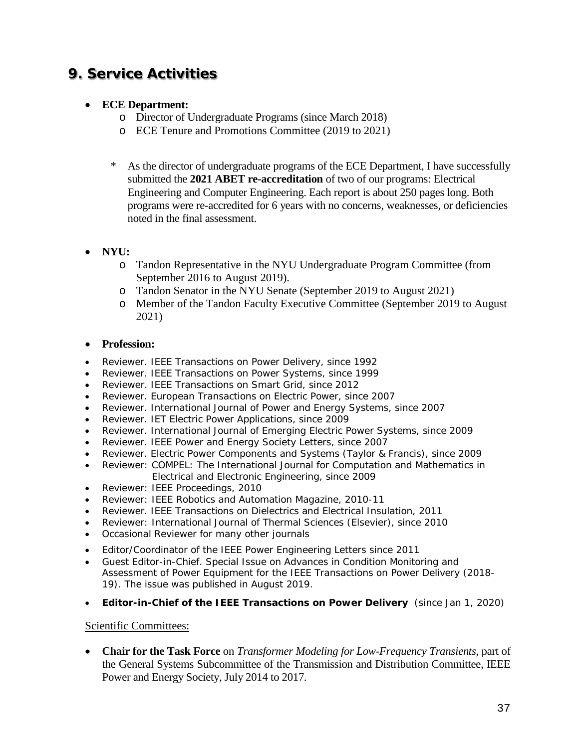# **9. Service Activities**

## • **ECE Department:**

- o Director of Undergraduate Programs (since March 2018)
- o ECE Tenure and Promotions Committee (2019 to 2021)
- \* As the director of undergraduate programs of the ECE Department, I have successfully submitted the **2021 ABET re-accreditation** of two of our programs: Electrical Engineering and Computer Engineering. Each report is about 250 pages long. Both programs were re-accredited for 6 years with no concerns, weaknesses, or deficiencies noted in the final assessment.
- **NYU:** 
	- o Tandon Representative in the NYU Undergraduate Program Committee (from September 2016 to August 2019).
	- o Tandon Senator in the NYU Senate (September 2019 to August 2021)
	- o Member of the Tandon Faculty Executive Committee (September 2019 to August 2021)

## • **Profession:**

- *Reviewer*. IEEE Transactions on Power Delivery, since 1992
- *Reviewer*. IEEE Transactions on Power Systems, since 1999
- Reviewer. IEEE Transactions on Smart Grid, since 2012
- *Reviewer*. European Transactions on Electric Power, since 2007
- *Reviewer*. International Journal of Power and Energy Systems, since 2007
- *Reviewer*. IET Electric Power Applications, since 2009
- *Reviewer*. International Journal of Emerging Electric Power Systems, since 2009
- *Reviewer*. IEEE Power and Energy Society Letters, since 2007
- *Reviewer*. Electric Power Components and Systems (Taylor & Francis), since 2009
- *Reviewer*: COMPEL: The International Journal for Computation and Mathematics in Electrical and Electronic Engineering, since 2009
- *Reviewer*: IEEE Proceedings, 2010
- *Reviewer*: IEEE Robotics and Automation Magazine, 2010-11
- Reviewer. IEEE Transactions on Dielectrics and Electrical Insulation, 2011
- *Reviewer*: International Journal of Thermal Sciences (Elsevier), since 2010
- *Occasional Reviewer for many other journals*
- Editor/Coordinator of the IEEE Power Engineering Letters since 2011
- *Guest Editor-in-Chief. Special Issue on Advances in Condition Monitoring and Assessment of Power Equipment for the IEEE Transactions on Power Delivery (2018- 19). The issue was published in August 2019.*
- **Editor-in-Chief of the IEEE Transactions on Power Delivery** (since Jan 1, 2020)

## Scientific Committees:

• **Chair for the Task Force** on *Transformer Modeling for Low-Frequency Transients*, part of the General Systems Subcommittee of the Transmission and Distribution Committee, IEEE Power and Energy Society, July 2014 to 2017.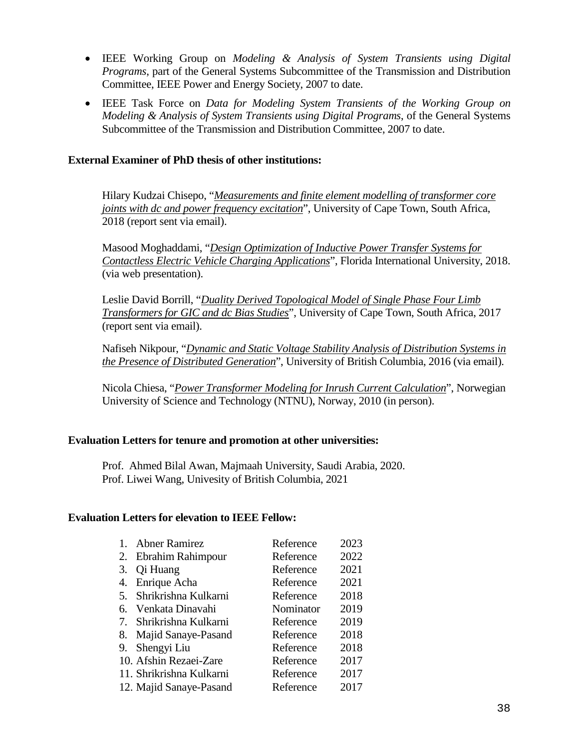- IEEE Working Group on *Modeling & Analysis of System Transients using Digital Programs*, part of the General Systems Subcommittee of the Transmission and Distribution Committee, IEEE Power and Energy Society, 2007 to date.
- IEEE Task Force on *Data for Modeling System Transients of the Working Group on Modeling & Analysis of System Transients using Digital Programs*, of the General Systems Subcommittee of the Transmission and Distribution Committee, 2007 to date.

### **External Examiner of PhD thesis of other institutions:**

Hilary Kudzai Chisepo, "*Measurements and finite element modelling of transformer core joints with dc and power frequency excitation*", University of Cape Town, South Africa, 2018 (report sent via email).

Masood Moghaddami, "*Design Optimization of Inductive Power Transfer Systems for Contactless Electric Vehicle Charging Applications*", Florida International University, 2018. (via web presentation).

Leslie David Borrill, "*Duality Derived Topological Model of Single Phase Four Limb Transformers for GIC and dc Bias Studies*", University of Cape Town, South Africa, 2017 (report sent via email).

Nafiseh Nikpour, "*Dynamic and Static Voltage Stability Analysis of Distribution Systems in the Presence of Distributed Generation*", University of British Columbia, 2016 (via email).

Nicola Chiesa, "*Power Transformer Modeling for Inrush Current Calculation*", Norwegian University of Science and Technology (NTNU), Norway, 2010 (in person).

### **Evaluation Letters for tenure and promotion at other universities:**

Prof. Ahmed Bilal Awan, Majmaah University, Saudi Arabia, 2020. Prof. Liwei Wang, Univesity of British Columbia, 2021

### **Evaluation Letters for elevation to IEEE Fellow:**

| 1.  | <b>Abner Ramirez</b>     | Reference | 2023 |
|-----|--------------------------|-----------|------|
| 2.  | Ebrahim Rahimpour        | Reference | 2022 |
| 3.  | Qi Huang                 | Reference | 2021 |
|     | 4. Enrique Acha          | Reference | 2021 |
| .5. | Shrikrishna Kulkarni     | Reference | 2018 |
| 6.  | Venkata Dinavahi         | Nominator | 2019 |
|     | 7. Shrikrishna Kulkarni  | Reference | 2019 |
|     | 8. Majid Sanaye-Pasand   | Reference | 2018 |
|     | 9. Shengyi Liu           | Reference | 2018 |
|     | 10. Afshin Rezaei-Zare   | Reference | 2017 |
|     | 11. Shrikrishna Kulkarni | Reference | 2017 |
|     | 12. Majid Sanaye-Pasand  | Reference | 2017 |